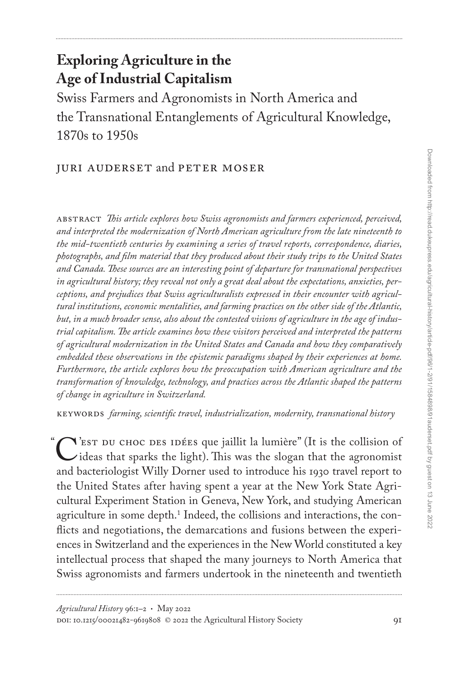# **Exploring Agriculture in the Age of Industrial Capitalism**

Swiss Farmers and Agronomists in North America and the Transnational Entanglements of Agricultural Knowledge, 1870s to 1950s

## Juri Auderset and Peter Moser

abstract *This article explores how Swiss agronomists and farmers experienced, perceived, and interpreted the modernization of North American agriculture from the late nineteenth to the mid-twentieth centuries by examining a series of travel reports, correspondence, diaries, photographs, and film material that they produced about their study trips to the United States and Canada. These sources are an interesting point of departure for transnational perspectives in agricultural history; they reveal not only a great deal about the expectations, anxieties, perceptions, and prejudices that Swiss agriculturalists expressed in their encounter with agricultural institutions, economic mentalities, and farming practices on the other side of the Atlantic, but, in a much broader sense, also about the contested visions of agriculture in the age of industrial capitalism. The article examines how these visitors perceived and interpreted the patterns of agricultural modernization in the United States and Canada and how they comparatively embedded these observations in the epistemic paradigms shaped by their experiences at home. Furthermore, the article explores how the preoccupation with American agriculture and the transformation of knowledge, technology, and practices across the Atlantic shaped the patterns of change in agriculture in Switzerland.*

keywords *farming, scientific travel, industrialization, modernity, transnational history*

C'est du choc des idées que jaillit la lumière" (It is the collision of<br>ideas that sparks the light). This was the slogan that the agronomist<br>and bacteriologist Willy Dorner used to introduce his 1020 travel renort to ideas that sparks the light). This was the slogan that the agronomist and bacteriologist Willy Dorner used to introduce his 1930 travel report to the United States after having spent a year at the New York State Agricultural Experiment Station in Geneva, New York, and studying American agriculture in some depth.<sup>1</sup> Indeed, the collisions and interactions, the conflicts and negotiations, the demarcations and fusions between the experiences in Switzerland and the experiences in the New World constituted a key intellectual process that shaped the many journeys to North America that Swiss agronomists and farmers undertook in the nineteenth and twentieth

"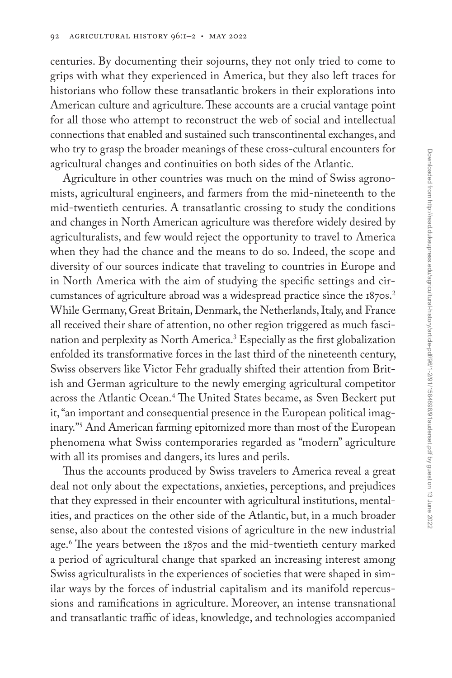centuries. By documenting their sojourns, they not only tried to come to grips with what they experienced in America, but they also left traces for historians who follow these transatlantic brokers in their explorations into American culture and agriculture. These accounts are a crucial vantage point for all those who attempt to reconstruct the web of social and intellectual connections that enabled and sustained such transcontinental exchanges, and who try to grasp the broader meanings of these cross-cultural encounters for agricultural changes and continuities on both sides of the Atlantic.

Agriculture in other countries was much on the mind of Swiss agronomists, agricultural engineers, and farmers from the mid-nineteenth to the mid-twentieth centuries. A transatlantic crossing to study the conditions and changes in North American agriculture was therefore widely desired by agriculturalists, and few would reject the opportunity to travel to America when they had the chance and the means to do so. Indeed, the scope and diversity of our sources indicate that traveling to countries in Europe and in North America with the aim of studying the specific settings and circumstances of agriculture abroad was a widespread practice since the 1870s.<sup>2</sup> While Germany, Great Britain, Denmark, the Netherlands, Italy, and France all received their share of attention, no other region triggered as much fascination and perplexity as North America.3 Especially as the first globalization enfolded its transformative forces in the last third of the nineteenth century, Swiss observers like Victor Fehr gradually shifted their attention from British and German agriculture to the newly emerging agricultural competitor across the Atlantic Ocean.4 The United States became, as Sven Beckert put it, "an important and consequential presence in the European political imaginary."5 And American farming epitomized more than most of the European phenomena what Swiss contemporaries regarded as "modern" agriculture with all its promises and dangers, its lures and perils.

Thus the accounts produced by Swiss travelers to America reveal a great deal not only about the expectations, anxieties, perceptions, and prejudices that they expressed in their encounter with agricultural institutions, mentalities, and practices on the other side of the Atlantic, but, in a much broader sense, also about the contested visions of agriculture in the new industrial age.6 The years between the 1870s and the mid-twentieth century marked a period of agricultural change that sparked an increasing interest among Swiss agriculturalists in the experiences of societies that were shaped in similar ways by the forces of industrial capitalism and its manifold repercussions and ramifications in agriculture. Moreover, an intense transnational and transatlantic traffic of ideas, knowledge, and technologies accompanied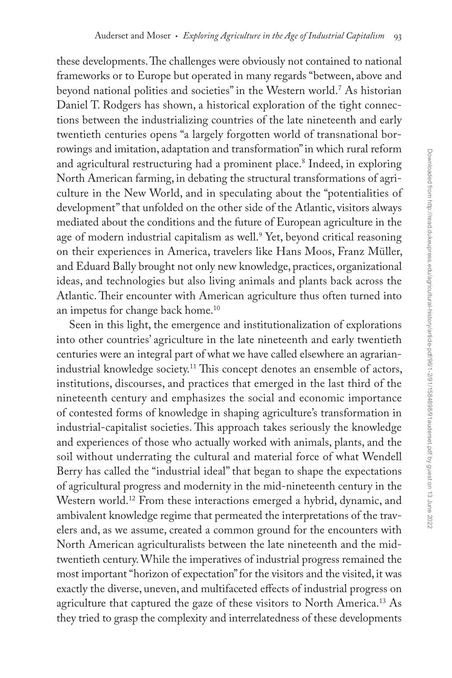these developments. The challenges were obviously not contained to national frameworks or to Europe but operated in many regards "between, above and beyond national polities and societies" in the Western world.7 As historian Daniel T. Rodgers has shown, a historical exploration of the tight connections between the industrializing countries of the late nineteenth and early twentieth centuries opens "a largely forgotten world of transnational borrowings and imitation, adaptation and transformation" in which rural reform and agricultural restructuring had a prominent place.<sup>8</sup> Indeed, in exploring North American farming, in debating the structural transformations of agriculture in the New World, and in speculating about the "potentialities of development" that unfolded on the other side of the Atlantic, visitors always mediated about the conditions and the future of European agriculture in the age of modern industrial capitalism as well.9 Yet, beyond critical reasoning on their experiences in America, travelers like Hans Moos, Franz Müller, and Eduard Bally brought not only new knowledge, practices, organizational ideas, and technologies but also living animals and plants back across the Atlantic. Their encounter with American agriculture thus often turned into an impetus for change back home.10

Seen in this light, the emergence and institutionalization of explorations into other countries' agriculture in the late nineteenth and early twentieth centuries were an integral part of what we have called elsewhere an agrarianindustrial knowledge society.<sup>11</sup> This concept denotes an ensemble of actors, institutions, discourses, and practices that emerged in the last third of the nineteenth century and emphasizes the social and economic importance of contested forms of knowledge in shaping agriculture's transformation in industrial-capitalist societies. This approach takes seriously the knowledge and experiences of those who actually worked with animals, plants, and the soil without underrating the cultural and material force of what Wendell Berry has called the "industrial ideal" that began to shape the expectations of agricultural progress and modernity in the mid-nineteenth century in the Western world.12 From these interactions emerged a hybrid, dynamic, and ambivalent knowledge regime that permeated the interpretations of the travelers and, as we assume, created a common ground for the encounters with North American agriculturalists between the late nineteenth and the midtwentieth century. While the imperatives of industrial progress remained the most important "horizon of expectation" for the visitors and the visited, it was exactly the diverse, uneven, and multifaceted effects of industrial progress on agriculture that captured the gaze of these visitors to North America.<sup>13</sup> As they tried to grasp the complexity and interrelatedness of these developments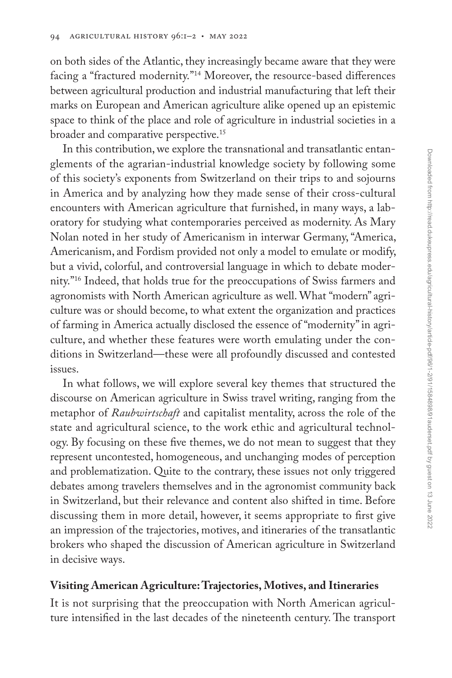on both sides of the Atlantic, they increasingly became aware that they were facing a "fractured modernity."14 Moreover, the resource-based differences between agricultural production and industrial manufacturing that left their marks on European and American agriculture alike opened up an epistemic space to think of the place and role of agriculture in industrial societies in a broader and comparative perspective.15

In this contribution, we explore the transnational and transatlantic entanglements of the agrarian-industrial knowledge society by following some of this society's exponents from Switzerland on their trips to and sojourns in America and by analyzing how they made sense of their cross-cultural encounters with American agriculture that furnished, in many ways, a laboratory for studying what contemporaries perceived as modernity. As Mary Nolan noted in her study of Americanism in interwar Germany, "America, Americanism, and Fordism provided not only a model to emulate or modify, but a vivid, colorful, and controversial language in which to debate modernity."16 Indeed, that holds true for the preoccupations of Swiss farmers and agronomists with North American agriculture as well. What "modern" agriculture was or should become, to what extent the organization and practices of farming in America actually disclosed the essence of "modernity" in agriculture, and whether these features were worth emulating under the conditions in Switzerland—these were all profoundly discussed and contested issues.

In what follows, we will explore several key themes that structured the discourse on American agriculture in Swiss travel writing, ranging from the metaphor of *Raubwirtschaft* and capitalist mentality, across the role of the state and agricultural science, to the work ethic and agricultural technology. By focusing on these five themes, we do not mean to suggest that they represent uncontested, homogeneous, and unchanging modes of perception and problematization. Quite to the contrary, these issues not only triggered debates among travelers themselves and in the agronomist community back in Switzerland, but their relevance and content also shifted in time. Before discussing them in more detail, however, it seems appropriate to first give an impression of the trajectories, motives, and itineraries of the transatlantic brokers who shaped the discussion of American agriculture in Switzerland in decisive ways.

#### **Visiting American Agriculture: Trajectories, Motives, and Itineraries**

It is not surprising that the preoccupation with North American agriculture intensified in the last decades of the nineteenth century. The transport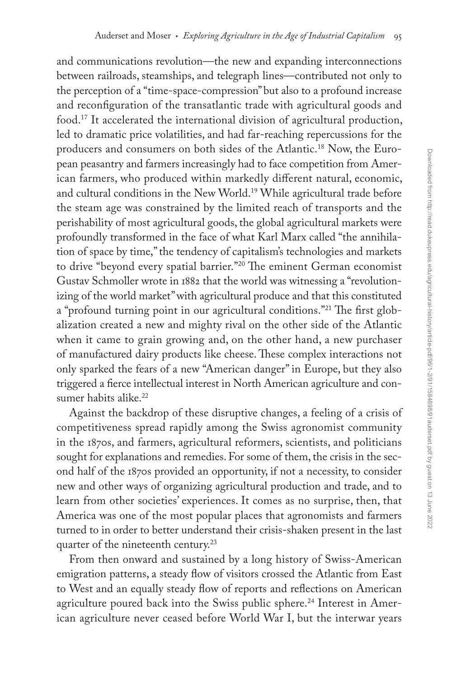and communications revolution—the new and expanding interconnections between railroads, steamships, and telegraph lines—contributed not only to the perception of a "time-space-compression" but also to a profound increase and reconfiguration of the transatlantic trade with agricultural goods and food.17 It accelerated the international division of agricultural production, led to dramatic price volatilities, and had far-reaching repercussions for the producers and consumers on both sides of the Atlantic.18 Now, the European peasantry and farmers increasingly had to face competition from American farmers, who produced within markedly different natural, economic, and cultural conditions in the New World.19 While agricultural trade before the steam age was constrained by the limited reach of transports and the perishability of most agricultural goods, the global agricultural markets were profoundly transformed in the face of what Karl Marx called "the annihilation of space by time," the tendency of capitalism's technologies and markets to drive "beyond every spatial barrier."20 The eminent German economist Gustav Schmoller wrote in 1882 that the world was witnessing a "revolutionizing of the world market" with agricultural produce and that this constituted a "profound turning point in our agricultural conditions."21 The first globalization created a new and mighty rival on the other side of the Atlantic when it came to grain growing and, on the other hand, a new purchaser of manufactured dairy products like cheese. These complex interactions not only sparked the fears of a new "American danger" in Europe, but they also triggered a fierce intellectual interest in North American agriculture and consumer habits alike.22

Against the backdrop of these disruptive changes, a feeling of a crisis of competitiveness spread rapidly among the Swiss agronomist community in the 1870s, and farmers, agricultural reformers, scientists, and politicians sought for explanations and remedies. For some of them, the crisis in the second half of the 1870s provided an opportunity, if not a necessity, to consider new and other ways of organizing agricultural production and trade, and to learn from other societies' experiences. It comes as no surprise, then, that America was one of the most popular places that agronomists and farmers turned to in order to better understand their crisis-shaken present in the last quarter of the nineteenth century.<sup>23</sup>

From then onward and sustained by a long history of Swiss-American emigration patterns, a steady flow of visitors crossed the Atlantic from East to West and an equally steady flow of reports and reflections on American agriculture poured back into the Swiss public sphere.<sup>24</sup> Interest in American agriculture never ceased before World War I, but the interwar years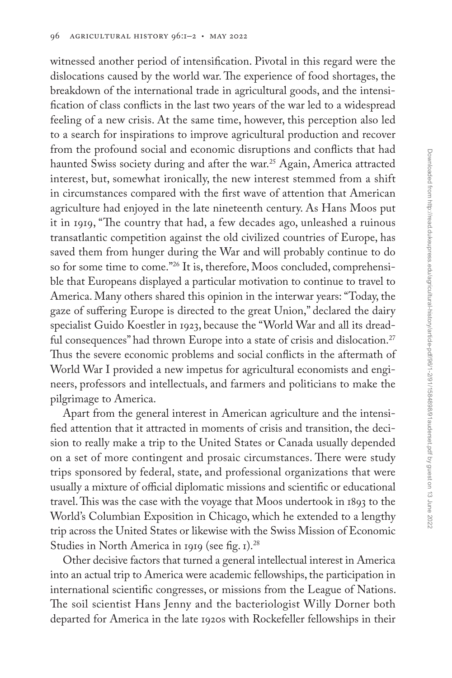witnessed another period of intensification. Pivotal in this regard were the dislocations caused by the world war. The experience of food shortages, the breakdown of the international trade in agricultural goods, and the intensification of class conflicts in the last two years of the war led to a widespread feeling of a new crisis. At the same time, however, this perception also led to a search for inspirations to improve agricultural production and recover from the profound social and economic disruptions and conflicts that had haunted Swiss society during and after the war.<sup>25</sup> Again, America attracted interest, but, somewhat ironically, the new interest stemmed from a shift in circumstances compared with the first wave of attention that American agriculture had enjoyed in the late nineteenth century. As Hans Moos put it in 1919, "The country that had, a few decades ago, unleashed a ruinous transatlantic competition against the old civilized countries of Europe, has saved them from hunger during the War and will probably continue to do so for some time to come."<sup>26</sup> It is, therefore, Moos concluded, comprehensible that Europeans displayed a particular motivation to continue to travel to America. Many others shared this opinion in the interwar years: "Today, the gaze of suffering Europe is directed to the great Union," declared the dairy specialist Guido Koestler in 1923, because the "World War and all its dreadful consequences" had thrown Europe into a state of crisis and dislocation.<sup>27</sup> Thus the severe economic problems and social conflicts in the aftermath of World War I provided a new impetus for agricultural economists and engineers, professors and intellectuals, and farmers and politicians to make the pilgrimage to America.

Apart from the general interest in American agriculture and the intensified attention that it attracted in moments of crisis and transition, the decision to really make a trip to the United States or Canada usually depended on a set of more contingent and prosaic circumstances. There were study trips sponsored by federal, state, and professional organizations that were usually a mixture of official diplomatic missions and scientific or educational travel. This was the case with the voyage that Moos undertook in 1893 to the World's Columbian Exposition in Chicago, which he extended to a lengthy trip across the United States or likewise with the Swiss Mission of Economic Studies in North America in 1919 (see fig. 1).<sup>28</sup>

Other decisive factors that turned a general intellectual interest in America into an actual trip to America were academic fellowships, the participation in international scientific congresses, or missions from the League of Nations. The soil scientist Hans Jenny and the bacteriologist Willy Dorner both departed for America in the late 1920s with Rockefeller fellowships in their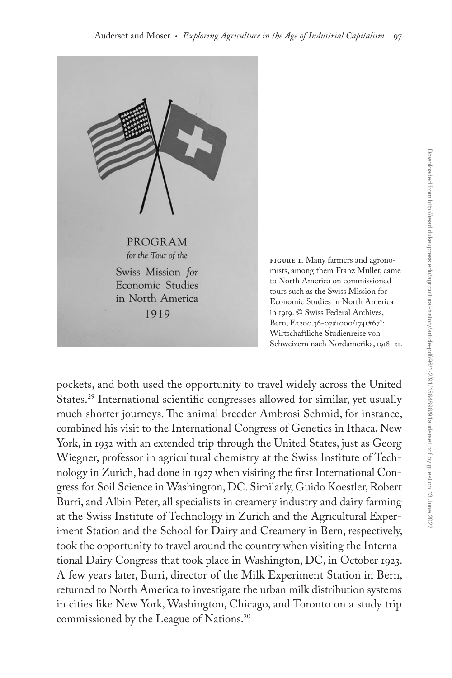

**Figure 1.** Many farmers and agronomists, among them Franz Müller, came to North America on commissioned tours such as the Swiss Mission for Economic Studies in North America in 1919. © Swiss Federal Archives, Bern, E2200.36-07#1000/1741#67\*: Wirtschaftliche Studienreise von Schweizern nach Nordamerika, 1918–21.

pockets, and both used the opportunity to travel widely across the United States.29 International scientific congresses allowed for similar, yet usually much shorter journeys. The animal breeder Ambrosi Schmid, for instance, combined his visit to the International Congress of Genetics in Ithaca, New York, in 1932 with an extended trip through the United States, just as Georg Wiegner, professor in agricultural chemistry at the Swiss Institute of Technology in Zurich, had done in 1927 when visiting the first International Congress for Soil Science in Washington, DC. Similarly, Guido Koestler, Robert Burri, and Albin Peter, all specialists in creamery industry and dairy farming at the Swiss Institute of Technology in Zurich and the Agricultural Experiment Station and the School for Dairy and Creamery in Bern, respectively, took the opportunity to travel around the country when visiting the International Dairy Congress that took place in Washington, DC, in October 1923. A few years later, Burri, director of the Milk Experiment Station in Bern, returned to North America to investigate the urban milk distribution systems in cities like New York, Washington, Chicago, and Toronto on a study trip commissioned by the League of Nations.<sup>30</sup>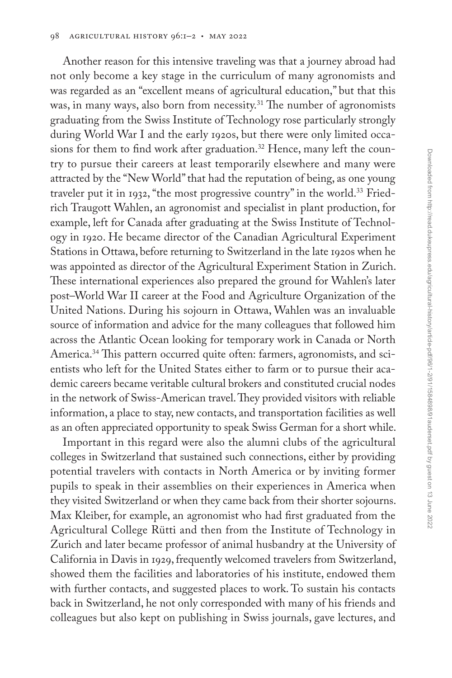Another reason for this intensive traveling was that a journey abroad had not only become a key stage in the curriculum of many agronomists and was regarded as an "excellent means of agricultural education," but that this was, in many ways, also born from necessity.<sup>31</sup> The number of agronomists graduating from the Swiss Institute of Technology rose particularly strongly during World War I and the early 1920s, but there were only limited occasions for them to find work after graduation.<sup>32</sup> Hence, many left the country to pursue their careers at least temporarily elsewhere and many were attracted by the "New World" that had the reputation of being, as one young traveler put it in 1932, "the most progressive country" in the world.<sup>33</sup> Friedrich Traugott Wahlen, an agronomist and specialist in plant production, for example, left for Canada after graduating at the Swiss Institute of Technology in 1920. He became director of the Canadian Agricultural Experiment Stations in Ottawa, before returning to Switzerland in the late 1920s when he was appointed as director of the Agricultural Experiment Station in Zurich. These international experiences also prepared the ground for Wahlen's later post–World War II career at the Food and Agriculture Organization of the United Nations. During his sojourn in Ottawa, Wahlen was an invaluable source of information and advice for the many colleagues that followed him across the Atlantic Ocean looking for temporary work in Canada or North America.<sup>34</sup> This pattern occurred quite often: farmers, agronomists, and scientists who left for the United States either to farm or to pursue their academic careers became veritable cultural brokers and constituted crucial nodes in the network of Swiss-American travel. They provided visitors with reliable information, a place to stay, new contacts, and transportation facilities as well as an often appreciated opportunity to speak Swiss German for a short while.

Important in this regard were also the alumni clubs of the agricultural colleges in Switzerland that sustained such connections, either by providing potential travelers with contacts in North America or by inviting former pupils to speak in their assemblies on their experiences in America when they visited Switzerland or when they came back from their shorter sojourns. Max Kleiber, for example, an agronomist who had first graduated from the Agricultural College Rütti and then from the Institute of Technology in Zurich and later became professor of animal husbandry at the University of California in Davis in 1929, frequently welcomed travelers from Switzerland, showed them the facilities and laboratories of his institute, endowed them with further contacts, and suggested places to work. To sustain his contacts back in Switzerland, he not only corresponded with many of his friends and colleagues but also kept on publishing in Swiss journals, gave lectures, and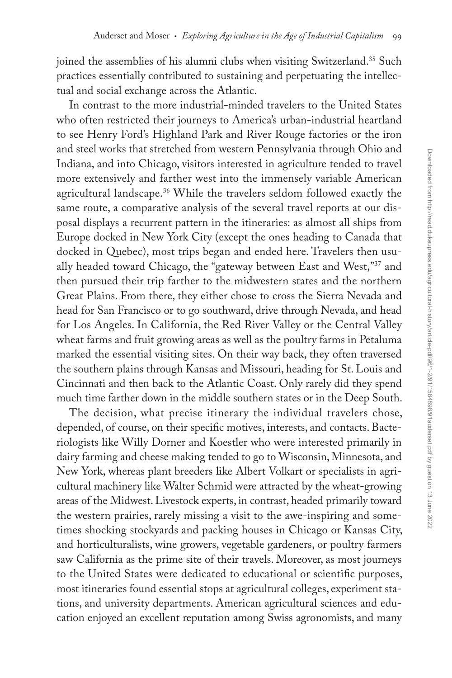joined the assemblies of his alumni clubs when visiting Switzerland.<sup>35</sup> Such practices essentially contributed to sustaining and perpetuating the intellectual and social exchange across the Atlantic.

In contrast to the more industrial-minded travelers to the United States who often restricted their journeys to America's urban-industrial heartland to see Henry Ford's Highland Park and River Rouge factories or the iron and steel works that stretched from western Pennsylvania through Ohio and Indiana, and into Chicago, visitors interested in agriculture tended to travel more extensively and farther west into the immensely variable American agricultural landscape.<sup>36</sup> While the travelers seldom followed exactly the same route, a comparative analysis of the several travel reports at our disposal displays a recurrent pattern in the itineraries: as almost all ships from Europe docked in New York City (except the ones heading to Canada that docked in Quebec), most trips began and ended here. Travelers then usually headed toward Chicago, the "gateway between East and West,"37 and then pursued their trip farther to the midwestern states and the northern Great Plains. From there, they either chose to cross the Sierra Nevada and head for San Francisco or to go southward, drive through Nevada, and head for Los Angeles. In California, the Red River Valley or the Central Valley wheat farms and fruit growing areas as well as the poultry farms in Petaluma marked the essential visiting sites. On their way back, they often traversed the southern plains through Kansas and Missouri, heading for St. Louis and Cincinnati and then back to the Atlantic Coast. Only rarely did they spend much time farther down in the middle southern states or in the Deep South.

The decision, what precise itinerary the individual travelers chose, depended, of course, on their specific motives, interests, and contacts. Bacteriologists like Willy Dorner and Koestler who were interested primarily in dairy farming and cheese making tended to go to Wisconsin, Minnesota, and New York, whereas plant breeders like Albert Volkart or specialists in agricultural machinery like Walter Schmid were attracted by the wheat-growing areas of the Midwest. Livestock experts, in contrast, headed primarily toward the western prairies, rarely missing a visit to the awe-inspiring and sometimes shocking stockyards and packing houses in Chicago or Kansas City, and horticulturalists, wine growers, vegetable gardeners, or poultry farmers saw California as the prime site of their travels. Moreover, as most journeys to the United States were dedicated to educational or scientific purposes, most itineraries found essential stops at agricultural colleges, experiment stations, and university departments. American agricultural sciences and education enjoyed an excellent reputation among Swiss agronomists, and many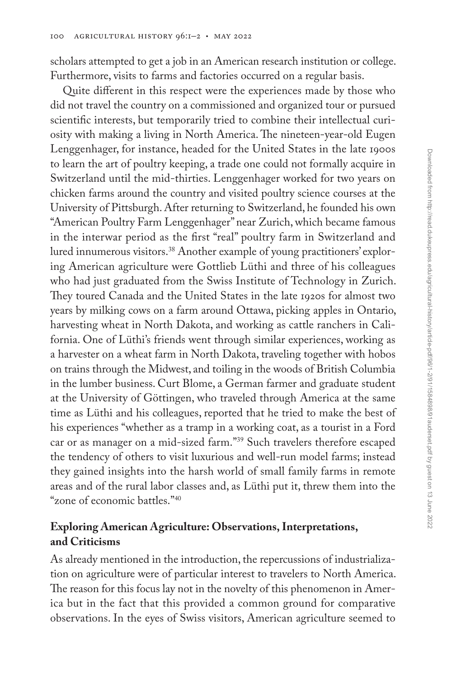scholars attempted to get a job in an American research institution or college. Furthermore, visits to farms and factories occurred on a regular basis.

Quite different in this respect were the experiences made by those who did not travel the country on a commissioned and organized tour or pursued scientific interests, but temporarily tried to combine their intellectual curiosity with making a living in North America. The nineteen-year-old Eugen Lenggenhager, for instance, headed for the United States in the late 1900s to learn the art of poultry keeping, a trade one could not formally acquire in Switzerland until the mid-thirties. Lenggenhager worked for two years on chicken farms around the country and visited poultry science courses at the University of Pittsburgh. After returning to Switzerland, he founded his own "American Poultry Farm Lenggenhager" near Zurich, which became famous in the interwar period as the first "real" poultry farm in Switzerland and lured innumerous visitors.<sup>38</sup> Another example of young practitioners' exploring American agriculture were Gottlieb Lüthi and three of his colleagues who had just graduated from the Swiss Institute of Technology in Zurich. They toured Canada and the United States in the late 1920s for almost two years by milking cows on a farm around Ottawa, picking apples in Ontario, harvesting wheat in North Dakota, and working as cattle ranchers in California. One of Lüthi's friends went through similar experiences, working as a harvester on a wheat farm in North Dakota, traveling together with hobos on trains through the Midwest, and toiling in the woods of British Columbia in the lumber business. Curt Blome, a German farmer and graduate student at the University of Göttingen, who traveled through America at the same time as Lüthi and his colleagues, reported that he tried to make the best of his experiences "whether as a tramp in a working coat, as a tourist in a Ford car or as manager on a mid-sized farm."39 Such travelers therefore escaped the tendency of others to visit luxurious and well-run model farms; instead they gained insights into the harsh world of small family farms in remote areas and of the rural labor classes and, as Lüthi put it, threw them into the "zone of economic battles."40

## **Exploring American Agriculture: Observations, Interpretations, and Criticisms**

As already mentioned in the introduction, the repercussions of industrialization on agriculture were of particular interest to travelers to North America. The reason for this focus lay not in the novelty of this phenomenon in America but in the fact that this provided a common ground for comparative observations. In the eyes of Swiss visitors, American agriculture seemed to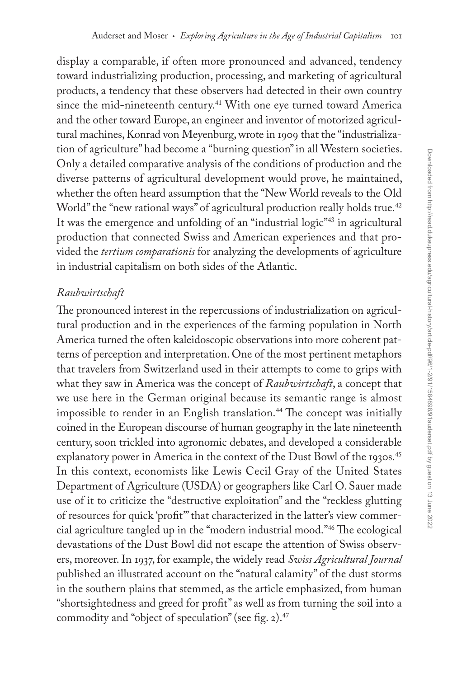display a comparable, if often more pronounced and advanced, tendency toward industrializing production, processing, and marketing of agricultural products, a tendency that these observers had detected in their own country since the mid-nineteenth century.<sup>41</sup> With one eye turned toward America and the other toward Europe, an engineer and inventor of motorized agricultural machines, Konrad von Meyenburg, wrote in 1909 that the "industrialization of agriculture" had become a "burning question" in all Western societies. Only a detailed comparative analysis of the conditions of production and the diverse patterns of agricultural development would prove, he maintained, whether the often heard assumption that the "New World reveals to the Old World" the "new rational ways" of agricultural production really holds true.<sup>42</sup> It was the emergence and unfolding of an "industrial logic"<sup>43</sup> in agricultural production that connected Swiss and American experiences and that provided the *tertium comparationis* for analyzing the developments of agriculture in industrial capitalism on both sides of the Atlantic.

## *Raubwirtschaft*

The pronounced interest in the repercussions of industrialization on agricultural production and in the experiences of the farming population in North America turned the often kaleidoscopic observations into more coherent patterns of perception and interpretation. One of the most pertinent metaphors that travelers from Switzerland used in their attempts to come to grips with what they saw in America was the concept of *Raubwirtschaft*, a concept that we use here in the German original because its semantic range is almost impossible to render in an English translation.<sup>44</sup> The concept was initially coined in the European discourse of human geography in the late nineteenth century, soon trickled into agronomic debates, and developed a considerable explanatory power in America in the context of the Dust Bowl of the 1930s.<sup>45</sup> In this context, economists like Lewis Cecil Gray of the United States Department of Agriculture (USDA) or geographers like Carl O. Sauer made use of it to criticize the "destructive exploitation" and the "reckless glutting of resources for quick 'profit'" that characterized in the latter's view commercial agriculture tangled up in the "modern industrial mood."46 The ecological devastations of the Dust Bowl did not escape the attention of Swiss observers, moreover. In 1937, for example, the widely read *Swiss Agricultural Journal* published an illustrated account on the "natural calamity" of the dust storms in the southern plains that stemmed, as the article emphasized, from human "shortsightedness and greed for profit" as well as from turning the soil into a commodity and "object of speculation" (see fig. 2). $47$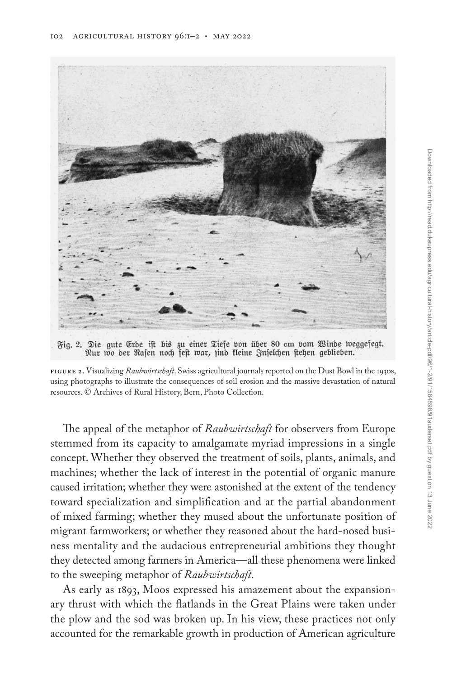

Fig. 2. Die gute Erde ist bis zu einer Tiefe von über 80 cm vom Winde weggefegt. Nur wo der Rasen noch fest war, jind kleine Inselchen stehen geblieben.

The appeal of the metaphor of *Raubwirtschaft* for observers from Europe stemmed from its capacity to amalgamate myriad impressions in a single concept. Whether they observed the treatment of soils, plants, animals, and machines; whether the lack of interest in the potential of organic manure caused irritation; whether they were astonished at the extent of the tendency toward specialization and simplification and at the partial abandonment of mixed farming; whether they mused about the unfortunate position of migrant farmworkers; or whether they reasoned about the hard-nosed business mentality and the audacious entrepreneurial ambitions they thought they detected among farmers in America—all these phenomena were linked to the sweeping metaphor of *Raubwirtschaft*.

As early as 1893, Moos expressed his amazement about the expansionary thrust with which the flatlands in the Great Plains were taken under the plow and the sod was broken up. In his view, these practices not only accounted for the remarkable growth in production of American agriculture

**Figure 2.** Visualizing *Raubwirtschaft*. Swiss agricultural journals reported on the Dust Bowl in the 1930s, using photographs to illustrate the consequences of soil erosion and the massive devastation of natural resources. © Archives of Rural History, Bern, Photo Collection.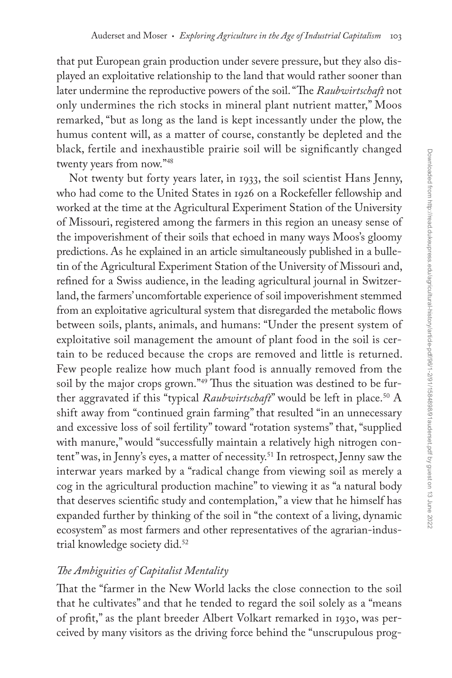that put European grain production under severe pressure, but they also displayed an exploitative relationship to the land that would rather sooner than later undermine the reproductive powers of the soil. "The *Raubwirtschaft* not only undermines the rich stocks in mineral plant nutrient matter," Moos remarked, "but as long as the land is kept incessantly under the plow, the humus content will, as a matter of course, constantly be depleted and the black, fertile and inexhaustible prairie soil will be significantly changed twenty years from now."48

Not twenty but forty years later, in 1933, the soil scientist Hans Jenny, who had come to the United States in 1926 on a Rockefeller fellowship and worked at the time at the Agricultural Experiment Station of the University of Missouri, registered among the farmers in this region an uneasy sense of the impoverishment of their soils that echoed in many ways Moos's gloomy predictions. As he explained in an article simultaneously published in a bulletin of the Agricultural Experiment Station of the University of Missouri and, refined for a Swiss audience, in the leading agricultural journal in Switzerland, the farmers' uncomfortable experience of soil impoverishment stemmed from an exploitative agricultural system that disregarded the metabolic flows between soils, plants, animals, and humans: "Under the present system of exploitative soil management the amount of plant food in the soil is certain to be reduced because the crops are removed and little is returned. Few people realize how much plant food is annually removed from the soil by the major crops grown."<sup>49</sup> Thus the situation was destined to be further aggravated if this "typical *Raubwirtschaft*" would be left in place.<sup>50</sup> A shift away from "continued grain farming" that resulted "in an unnecessary and excessive loss of soil fertility" toward "rotation systems" that, "supplied with manure," would "successfully maintain a relatively high nitrogen content" was, in Jenny's eyes, a matter of necessity.<sup>51</sup> In retrospect, Jenny saw the interwar years marked by a "radical change from viewing soil as merely a cog in the agricultural production machine" to viewing it as "a natural body that deserves scientific study and contemplation," a view that he himself has expanded further by thinking of the soil in "the context of a living, dynamic ecosystem" as most farmers and other representatives of the agrarian-industrial knowledge society did.52

## *The Ambiguities of Capitalist Mentality*

That the "farmer in the New World lacks the close connection to the soil that he cultivates" and that he tended to regard the soil solely as a "means of profit," as the plant breeder Albert Volkart remarked in 1930, was perceived by many visitors as the driving force behind the "unscrupulous prog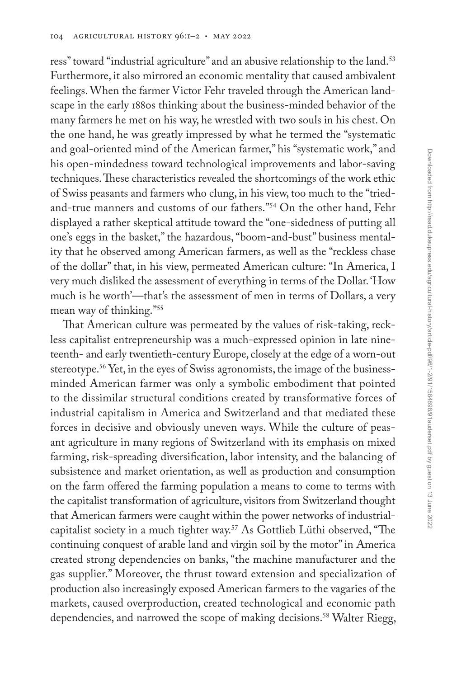ress" toward "industrial agriculture" and an abusive relationship to the land.<sup>53</sup> Furthermore, it also mirrored an economic mentality that caused ambivalent feelings. When the farmer Victor Fehr traveled through the American landscape in the early 1880s thinking about the business-minded behavior of the many farmers he met on his way, he wrestled with two souls in his chest. On the one hand, he was greatly impressed by what he termed the "systematic and goal-oriented mind of the American farmer," his "systematic work," and his open-mindedness toward technological improvements and labor-saving techniques. These characteristics revealed the shortcomings of the work ethic of Swiss peasants and farmers who clung, in his view, too much to the "triedand-true manners and customs of our fathers."54 On the other hand, Fehr displayed a rather skeptical attitude toward the "one-sidedness of putting all one's eggs in the basket," the hazardous, "boom-and-bust" business mentality that he observed among American farmers, as well as the "reckless chase of the dollar" that, in his view, permeated American culture: "In America, I very much disliked the assessment of everything in terms of the Dollar. 'How much is he worth'—that's the assessment of men in terms of Dollars, a very mean way of thinking."55

That American culture was permeated by the values of risk-taking, reckless capitalist entrepreneurship was a much-expressed opinion in late nineteenth- and early twentieth-century Europe, closely at the edge of a worn-out stereotype.56 Yet, in the eyes of Swiss agronomists, the image of the businessminded American farmer was only a symbolic embodiment that pointed to the dissimilar structural conditions created by transformative forces of industrial capitalism in America and Switzerland and that mediated these forces in decisive and obviously uneven ways. While the culture of peasant agriculture in many regions of Switzerland with its emphasis on mixed farming, risk-spreading diversification, labor intensity, and the balancing of subsistence and market orientation, as well as production and consumption on the farm offered the farming population a means to come to terms with the capitalist transformation of agriculture, visitors from Switzerland thought that American farmers were caught within the power networks of industrialcapitalist society in a much tighter way.57 As Gottlieb Lüthi observed, "The continuing conquest of arable land and virgin soil by the motor" in America created strong dependencies on banks, "the machine manufacturer and the gas supplier." Moreover, the thrust toward extension and specialization of production also increasingly exposed American farmers to the vagaries of the markets, caused overproduction, created technological and economic path dependencies, and narrowed the scope of making decisions.<sup>58</sup> Walter Riegg,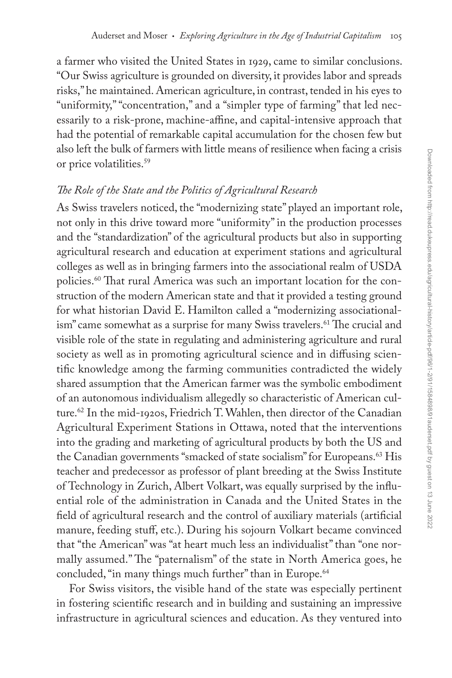a farmer who visited the United States in 1929, came to similar conclusions. "Our Swiss agriculture is grounded on diversity, it provides labor and spreads risks," he maintained. American agriculture, in contrast, tended in his eyes to "uniformity," "concentration," and a "simpler type of farming" that led necessarily to a risk-prone, machine-affine, and capital-intensive approach that had the potential of remarkable capital accumulation for the chosen few but also left the bulk of farmers with little means of resilience when facing a crisis or price volatilities.59

#### *The Role of the State and the Politics of Agricultural Research*

As Swiss travelers noticed, the "modernizing state" played an important role, not only in this drive toward more "uniformity" in the production processes and the "standardization" of the agricultural products but also in supporting agricultural research and education at experiment stations and agricultural colleges as well as in bringing farmers into the associational realm of USDA policies.60 That rural America was such an important location for the construction of the modern American state and that it provided a testing ground for what historian David E. Hamilton called a "modernizing associationalism" came somewhat as a surprise for many Swiss travelers.<sup>61</sup> The crucial and visible role of the state in regulating and administering agriculture and rural society as well as in promoting agricultural science and in diffusing scientific knowledge among the farming communities contradicted the widely shared assumption that the American farmer was the symbolic embodiment of an autonomous individualism allegedly so characteristic of American culture.62 In the mid-1920s, Friedrich T. Wahlen, then director of the Canadian Agricultural Experiment Stations in Ottawa, noted that the interventions into the grading and marketing of agricultural products by both the US and the Canadian governments "smacked of state socialism" for Europeans.<sup>63</sup> His teacher and predecessor as professor of plant breeding at the Swiss Institute of Technology in Zurich, Albert Volkart, was equally surprised by the influential role of the administration in Canada and the United States in the field of agricultural research and the control of auxiliary materials (artificial manure, feeding stuff, etc.). During his sojourn Volkart became convinced that "the American" was "at heart much less an individualist" than "one normally assumed." The "paternalism" of the state in North America goes, he concluded, "in many things much further" than in Europe.<sup>64</sup>

For Swiss visitors, the visible hand of the state was especially pertinent in fostering scientific research and in building and sustaining an impressive infrastructure in agricultural sciences and education. As they ventured into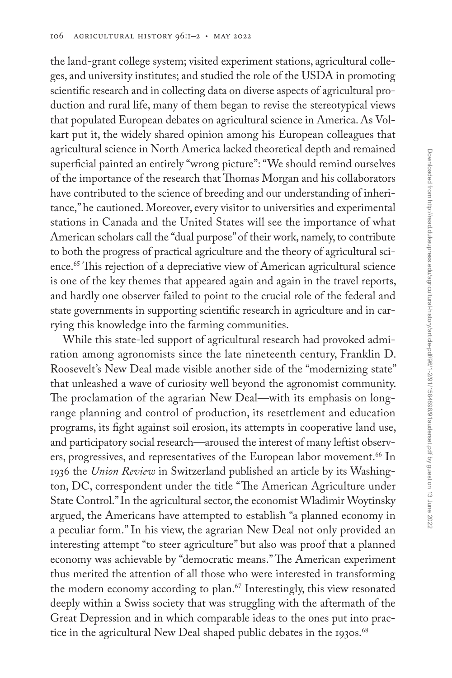the land-grant college system; visited experiment stations, agricultural colleges, and university institutes; and studied the role of the USDA in promoting scientific research and in collecting data on diverse aspects of agricultural production and rural life, many of them began to revise the stereotypical views that populated European debates on agricultural science in America. As Volkart put it, the widely shared opinion among his European colleagues that agricultural science in North America lacked theoretical depth and remained superficial painted an entirely "wrong picture": "We should remind ourselves of the importance of the research that Thomas Morgan and his collaborators have contributed to the science of breeding and our understanding of inheritance," he cautioned. Moreover, every visitor to universities and experimental stations in Canada and the United States will see the importance of what American scholars call the "dual purpose" of their work, namely, to contribute to both the progress of practical agriculture and the theory of agricultural science.<sup>65</sup> This rejection of a depreciative view of American agricultural science is one of the key themes that appeared again and again in the travel reports, and hardly one observer failed to point to the crucial role of the federal and state governments in supporting scientific research in agriculture and in carrying this knowledge into the farming communities.

While this state-led support of agricultural research had provoked admiration among agronomists since the late nineteenth century, Franklin D. Roosevelt's New Deal made visible another side of the "modernizing state" that unleashed a wave of curiosity well beyond the agronomist community. The proclamation of the agrarian New Deal—with its emphasis on longrange planning and control of production, its resettlement and education programs, its fight against soil erosion, its attempts in cooperative land use, and participatory social research—aroused the interest of many leftist observers, progressives, and representatives of the European labor movement.<sup>66</sup> In 1936 the *Union Review* in Switzerland published an article by its Washington, DC, correspondent under the title "The American Agriculture under State Control." In the agricultural sector, the economist Wladimir Woytinsky argued, the Americans have attempted to establish "a planned economy in a peculiar form." In his view, the agrarian New Deal not only provided an interesting attempt "to steer agriculture" but also was proof that a planned economy was achievable by "democratic means." The American experiment thus merited the attention of all those who were interested in transforming the modern economy according to plan.<sup>67</sup> Interestingly, this view resonated deeply within a Swiss society that was struggling with the aftermath of the Great Depression and in which comparable ideas to the ones put into practice in the agricultural New Deal shaped public debates in the 1930s.<sup>68</sup>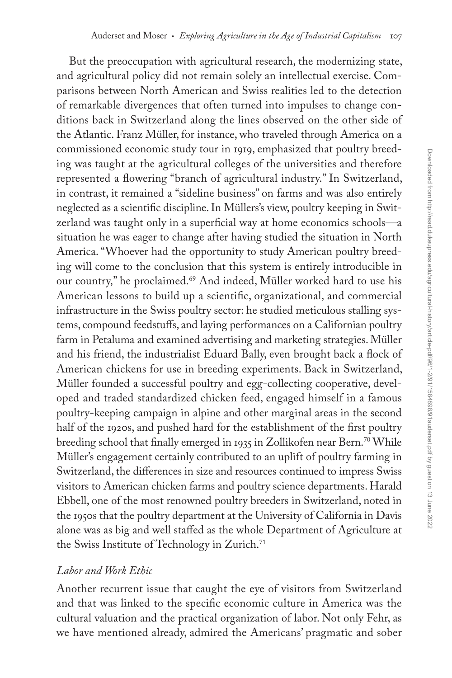But the preoccupation with agricultural research, the modernizing state, and agricultural policy did not remain solely an intellectual exercise. Comparisons between North American and Swiss realities led to the detection of remarkable divergences that often turned into impulses to change conditions back in Switzerland along the lines observed on the other side of the Atlantic. Franz Müller, for instance, who traveled through America on a commissioned economic study tour in 1919, emphasized that poultry breeding was taught at the agricultural colleges of the universities and therefore represented a flowering "branch of agricultural industry." In Switzerland, in contrast, it remained a "sideline business" on farms and was also entirely neglected as a scientific discipline. In Müllers's view, poultry keeping in Switzerland was taught only in a superficial way at home economics schools—a situation he was eager to change after having studied the situation in North America. "Whoever had the opportunity to study American poultry breeding will come to the conclusion that this system is entirely introducible in our country," he proclaimed.<sup>69</sup> And indeed, Müller worked hard to use his American lessons to build up a scientific, organizational, and commercial infrastructure in the Swiss poultry sector: he studied meticulous stalling systems, compound feedstuffs, and laying performances on a Californian poultry farm in Petaluma and examined advertising and marketing strategies. Müller and his friend, the industrialist Eduard Bally, even brought back a flock of American chickens for use in breeding experiments. Back in Switzerland, Müller founded a successful poultry and egg-collecting cooperative, developed and traded standardized chicken feed, engaged himself in a famous poultry-keeping campaign in alpine and other marginal areas in the second half of the 1920s, and pushed hard for the establishment of the first poultry breeding school that finally emerged in 1935 in Zollikofen near Bern.<sup>70</sup> While Müller's engagement certainly contributed to an uplift of poultry farming in Switzerland, the differences in size and resources continued to impress Swiss visitors to American chicken farms and poultry science departments. Harald Ebbell, one of the most renowned poultry breeders in Switzerland, noted in the 1950s that the poultry department at the University of California in Davis alone was as big and well staffed as the whole Department of Agriculture at the Swiss Institute of Technology in Zurich.<sup>71</sup>

#### *Labor and Work Ethic*

Another recurrent issue that caught the eye of visitors from Switzerland and that was linked to the specific economic culture in America was the cultural valuation and the practical organization of labor. Not only Fehr, as we have mentioned already, admired the Americans' pragmatic and sober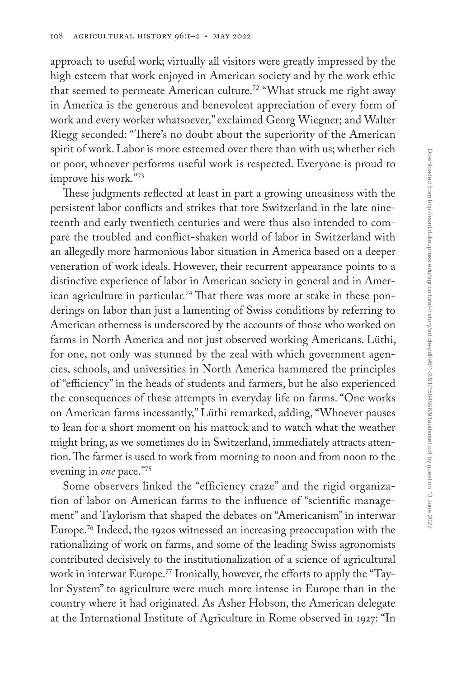approach to useful work; virtually all visitors were greatly impressed by the high esteem that work enjoyed in American society and by the work ethic that seemed to permeate American culture.<sup>72</sup> "What struck me right away in America is the generous and benevolent appreciation of every form of work and every worker whatsoever," exclaimed Georg Wiegner; and Walter Riegg seconded: "There's no doubt about the superiority of the American spirit of work. Labor is more esteemed over there than with us; whether rich or poor, whoever performs useful work is respected. Everyone is proud to improve his work."73

These judgments reflected at least in part a growing uneasiness with the persistent labor conflicts and strikes that tore Switzerland in the late nineteenth and early twentieth centuries and were thus also intended to compare the troubled and conflict-shaken world of labor in Switzerland with an allegedly more harmonious labor situation in America based on a deeper veneration of work ideals. However, their recurrent appearance points to a distinctive experience of labor in American society in general and in American agriculture in particular.<sup>74</sup> That there was more at stake in these ponderings on labor than just a lamenting of Swiss conditions by referring to American otherness is underscored by the accounts of those who worked on farms in North America and not just observed working Americans. Lüthi, for one, not only was stunned by the zeal with which government agencies, schools, and universities in North America hammered the principles of "efficiency" in the heads of students and farmers, but he also experienced the consequences of these attempts in everyday life on farms. "One works on American farms incessantly," Lüthi remarked, adding, "Whoever pauses to lean for a short moment on his mattock and to watch what the weather might bring, as we sometimes do in Switzerland, immediately attracts attention. The farmer is used to work from morning to noon and from noon to the evening in *one* pace."75

Some observers linked the "efficiency craze" and the rigid organization of labor on American farms to the influence of "scientific management" and Taylorism that shaped the debates on "Americanism" in interwar Europe.76 Indeed, the 1920s witnessed an increasing preoccupation with the rationalizing of work on farms, and some of the leading Swiss agronomists contributed decisively to the institutionalization of a science of agricultural work in interwar Europe.<sup>77</sup> Ironically, however, the efforts to apply the "Taylor System" to agriculture were much more intense in Europe than in the country where it had originated. As Asher Hobson, the American delegate at the International Institute of Agriculture in Rome observed in 1927: "In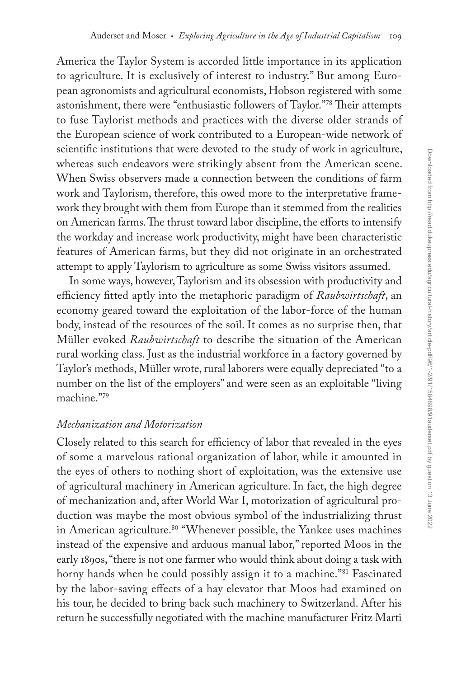America the Taylor System is accorded little importance in its application to agriculture. It is exclusively of interest to industry." But among European agronomists and agricultural economists, Hobson registered with some astonishment, there were "enthusiastic followers of Taylor."78 Their attempts to fuse Taylorist methods and practices with the diverse older strands of the European science of work contributed to a European-wide network of scientific institutions that were devoted to the study of work in agriculture, whereas such endeavors were strikingly absent from the American scene. When Swiss observers made a connection between the conditions of farm work and Taylorism, therefore, this owed more to the interpretative framework they brought with them from Europe than it stemmed from the realities on American farms. The thrust toward labor discipline, the efforts to intensify the workday and increase work productivity, might have been characteristic features of American farms, but they did not originate in an orchestrated attempt to apply Taylorism to agriculture as some Swiss visitors assumed.

In some ways, however, Taylorism and its obsession with productivity and efficiency fitted aptly into the metaphoric paradigm of *Raubwirtschaft*, an economy geared toward the exploitation of the labor-force of the human body, instead of the resources of the soil. It comes as no surprise then, that Müller evoked *Raubwirtschaft* to describe the situation of the American rural working class. Just as the industrial workforce in a factory governed by Taylor's methods, Müller wrote, rural laborers were equally depreciated "to a number on the list of the employers" and were seen as an exploitable "living machine."79

## *Mechanization and Motorization*

Closely related to this search for efficiency of labor that revealed in the eyes of some a marvelous rational organization of labor, while it amounted in the eyes of others to nothing short of exploitation, was the extensive use of agricultural machinery in American agriculture. In fact, the high degree of mechanization and, after World War I, motorization of agricultural production was maybe the most obvious symbol of the industrializing thrust in American agriculture.<sup>80</sup> "Whenever possible, the Yankee uses machines instead of the expensive and arduous manual labor," reported Moos in the early 1890s, "there is not one farmer who would think about doing a task with horny hands when he could possibly assign it to a machine."<sup>81</sup> Fascinated by the labor-saving effects of a hay elevator that Moos had examined on his tour, he decided to bring back such machinery to Switzerland. After his return he successfully negotiated with the machine manufacturer Fritz Marti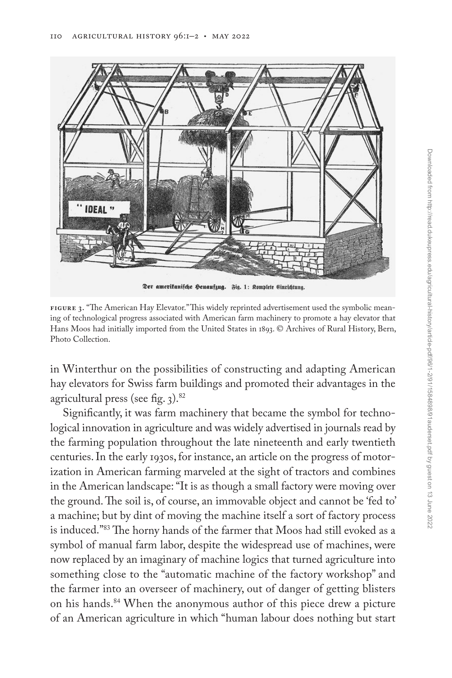

**Figure 3.** "The American Hay Elevator." This widely reprinted advertisement used the symbolic meaning of technological progress associated with American farm machinery to promote a hay elevator that Hans Moos had initially imported from the United States in 1893. © Archives of Rural History, Bern, Photo Collection.

in Winterthur on the possibilities of constructing and adapting American hay elevators for Swiss farm buildings and promoted their advantages in the agricultural press (see fig.  $3$ ).<sup>82</sup>

Significantly, it was farm machinery that became the symbol for technological innovation in agriculture and was widely advertised in journals read by the farming population throughout the late nineteenth and early twentieth centuries. In the early 1930s, for instance, an article on the progress of motorization in American farming marveled at the sight of tractors and combines in the American landscape: "It is as though a small factory were moving over the ground. The soil is, of course, an immovable object and cannot be 'fed to' a machine; but by dint of moving the machine itself a sort of factory process is induced."83 The horny hands of the farmer that Moos had still evoked as a symbol of manual farm labor, despite the widespread use of machines, were now replaced by an imaginary of machine logics that turned agriculture into something close to the "automatic machine of the factory workshop" and the farmer into an overseer of machinery, out of danger of getting blisters on his hands.<sup>84</sup> When the anonymous author of this piece drew a picture of an American agriculture in which "human labour does nothing but start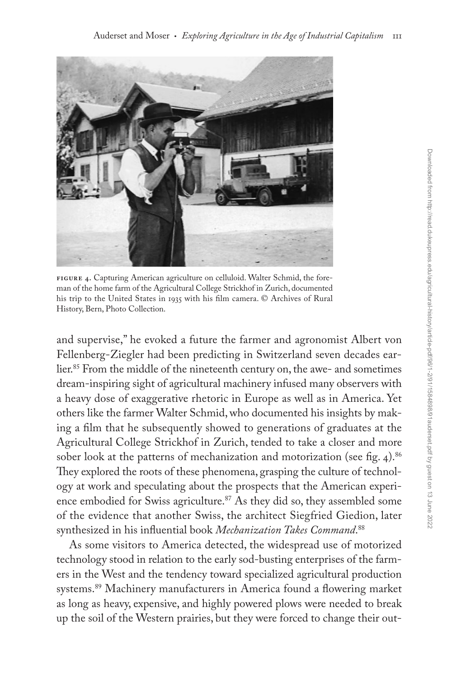

**Figure 4.** Capturing American agriculture on celluloid. Walter Schmid, the foreman of the home farm of the Agricultural College Strickhof in Zurich, documented his trip to the United States in 1935 with his film camera. © Archives of Rural History, Bern, Photo Collection.

and supervise," he evoked a future the farmer and agronomist Albert von Fellenberg-Ziegler had been predicting in Switzerland seven decades earlier.85 From the middle of the nineteenth century on, the awe- and sometimes dream-inspiring sight of agricultural machinery infused many observers with a heavy dose of exaggerative rhetoric in Europe as well as in America. Yet others like the farmer Walter Schmid, who documented his insights by making a film that he subsequently showed to generations of graduates at the Agricultural College Strickhof in Zurich, tended to take a closer and more sober look at the patterns of mechanization and motorization (see fig. 4).<sup>86</sup> They explored the roots of these phenomena, grasping the culture of technology at work and speculating about the prospects that the American experience embodied for Swiss agriculture.<sup>87</sup> As they did so, they assembled some of the evidence that another Swiss, the architect Siegfried Giedion, later synthesized in his influential book *Mechanization Takes Command*. 88

As some visitors to America detected, the widespread use of motorized technology stood in relation to the early sod-busting enterprises of the farmers in the West and the tendency toward specialized agricultural production systems.89 Machinery manufacturers in America found a flowering market as long as heavy, expensive, and highly powered plows were needed to break up the soil of the Western prairies, but they were forced to change their out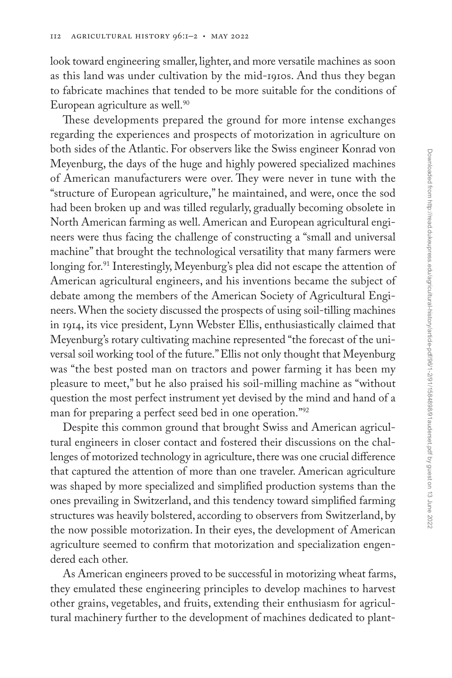look toward engineering smaller, lighter, and more versatile machines as soon as this land was under cultivation by the mid-1910s. And thus they began to fabricate machines that tended to be more suitable for the conditions of European agriculture as well.<sup>90</sup>

These developments prepared the ground for more intense exchanges regarding the experiences and prospects of motorization in agriculture on both sides of the Atlantic. For observers like the Swiss engineer Konrad von Meyenburg, the days of the huge and highly powered specialized machines of American manufacturers were over. They were never in tune with the "structure of European agriculture," he maintained, and were, once the sod had been broken up and was tilled regularly, gradually becoming obsolete in North American farming as well. American and European agricultural engineers were thus facing the challenge of constructing a "small and universal machine" that brought the technological versatility that many farmers were longing for.<sup>91</sup> Interestingly, Meyenburg's plea did not escape the attention of American agricultural engineers, and his inventions became the subject of debate among the members of the American Society of Agricultural Engineers. When the society discussed the prospects of using soil-tilling machines in 1914, its vice president, Lynn Webster Ellis, enthusiastically claimed that Meyenburg's rotary cultivating machine represented "the forecast of the universal soil working tool of the future." Ellis not only thought that Meyenburg was "the best posted man on tractors and power farming it has been my pleasure to meet," but he also praised his soil-milling machine as "without question the most perfect instrument yet devised by the mind and hand of a man for preparing a perfect seed bed in one operation."92

Despite this common ground that brought Swiss and American agricultural engineers in closer contact and fostered their discussions on the challenges of motorized technology in agriculture, there was one crucial difference that captured the attention of more than one traveler. American agriculture was shaped by more specialized and simplified production systems than the ones prevailing in Switzerland, and this tendency toward simplified farming structures was heavily bolstered, according to observers from Switzerland, by the now possible motorization. In their eyes, the development of American agriculture seemed to confirm that motorization and specialization engendered each other.

As American engineers proved to be successful in motorizing wheat farms, they emulated these engineering principles to develop machines to harvest other grains, vegetables, and fruits, extending their enthusiasm for agricultural machinery further to the development of machines dedicated to plant-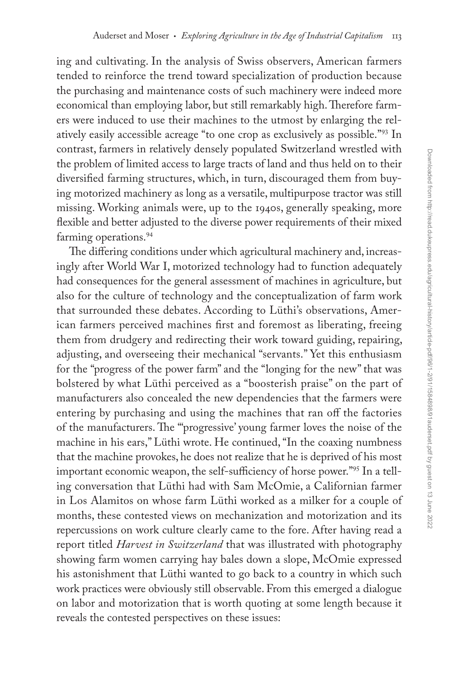ing and cultivating. In the analysis of Swiss observers, American farmers tended to reinforce the trend toward specialization of production because the purchasing and maintenance costs of such machinery were indeed more economical than employing labor, but still remarkably high. Therefore farmers were induced to use their machines to the utmost by enlarging the relatively easily accessible acreage "to one crop as exclusively as possible."93 In contrast, farmers in relatively densely populated Switzerland wrestled with the problem of limited access to large tracts of land and thus held on to their diversified farming structures, which, in turn, discouraged them from buying motorized machinery as long as a versatile, multipurpose tractor was still missing. Working animals were, up to the 1940s, generally speaking, more flexible and better adjusted to the diverse power requirements of their mixed farming operations.<sup>94</sup>

The differing conditions under which agricultural machinery and, increasingly after World War I, motorized technology had to function adequately had consequences for the general assessment of machines in agriculture, but also for the culture of technology and the conceptualization of farm work that surrounded these debates. According to Lüthi's observations, American farmers perceived machines first and foremost as liberating, freeing them from drudgery and redirecting their work toward guiding, repairing, adjusting, and overseeing their mechanical "servants." Yet this enthusiasm for the "progress of the power farm" and the "longing for the new" that was bolstered by what Lüthi perceived as a "boosterish praise" on the part of manufacturers also concealed the new dependencies that the farmers were entering by purchasing and using the machines that ran off the factories of the manufacturers. The "'progressive' young farmer loves the noise of the machine in his ears," Lüthi wrote. He continued, "In the coaxing numbness that the machine provokes, he does not realize that he is deprived of his most important economic weapon, the self-sufficiency of horse power."95 In a telling conversation that Lüthi had with Sam McOmie, a Californian farmer in Los Alamitos on whose farm Lüthi worked as a milker for a couple of months, these contested views on mechanization and motorization and its repercussions on work culture clearly came to the fore. After having read a report titled *Harvest in Switzerland* that was illustrated with photography showing farm women carrying hay bales down a slope, McOmie expressed his astonishment that Lüthi wanted to go back to a country in which such work practices were obviously still observable. From this emerged a dialogue on labor and motorization that is worth quoting at some length because it reveals the contested perspectives on these issues: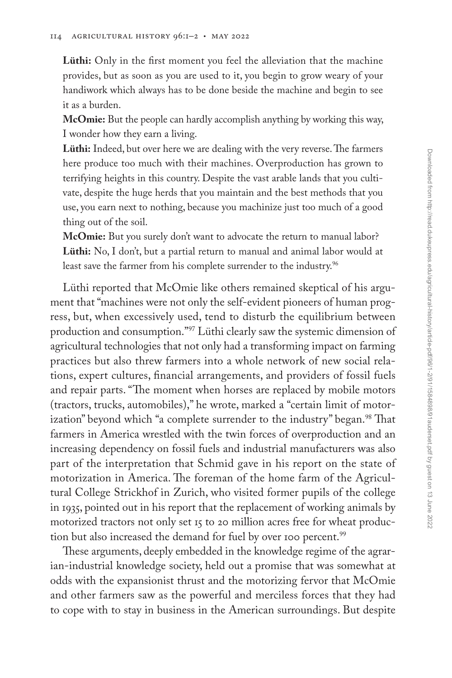**Lüthi:** Only in the first moment you feel the alleviation that the machine provides, but as soon as you are used to it, you begin to grow weary of your handiwork which always has to be done beside the machine and begin to see it as a burden.

**McOmie:** But the people can hardly accomplish anything by working this way, I wonder how they earn a living.

**Lüthi:** Indeed, but over here we are dealing with the very reverse. The farmers here produce too much with their machines. Overproduction has grown to terrifying heights in this country. Despite the vast arable lands that you cultivate, despite the huge herds that you maintain and the best methods that you use, you earn next to nothing, because you machinize just too much of a good thing out of the soil.

**McOmie:** But you surely don't want to advocate the return to manual labor? **Lüthi:** No, I don't, but a partial return to manual and animal labor would at least save the farmer from his complete surrender to the industry.<sup>96</sup>

Lüthi reported that McOmie like others remained skeptical of his argument that "machines were not only the self-evident pioneers of human progress, but, when excessively used, tend to disturb the equilibrium between production and consumption."97 Lüthi clearly saw the systemic dimension of agricultural technologies that not only had a transforming impact on farming practices but also threw farmers into a whole network of new social relations, expert cultures, financial arrangements, and providers of fossil fuels and repair parts. "The moment when horses are replaced by mobile motors (tractors, trucks, automobiles)," he wrote, marked a "certain limit of motorization" beyond which "a complete surrender to the industry" began.<sup>98</sup> That farmers in America wrestled with the twin forces of overproduction and an increasing dependency on fossil fuels and industrial manufacturers was also part of the interpretation that Schmid gave in his report on the state of motorization in America. The foreman of the home farm of the Agricultural College Strickhof in Zurich, who visited former pupils of the college in 1935, pointed out in his report that the replacement of working animals by motorized tractors not only set 15 to 20 million acres free for wheat production but also increased the demand for fuel by over 100 percent.<sup>99</sup>

These arguments, deeply embedded in the knowledge regime of the agrarian-industrial knowledge society, held out a promise that was somewhat at odds with the expansionist thrust and the motorizing fervor that McOmie and other farmers saw as the powerful and merciless forces that they had to cope with to stay in business in the American surroundings. But despite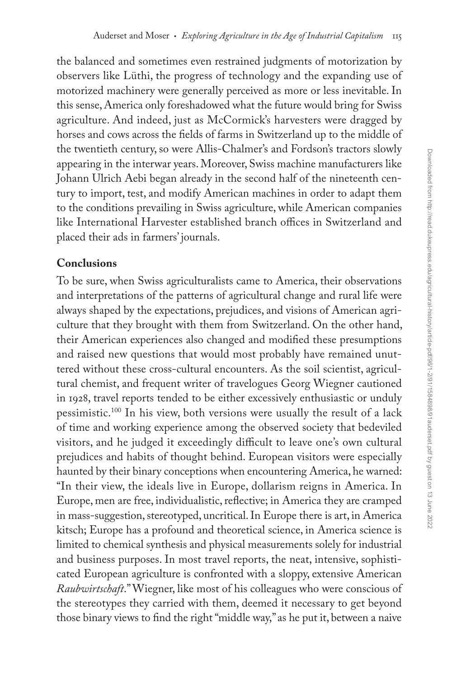the balanced and sometimes even restrained judgments of motorization by observers like Lüthi, the progress of technology and the expanding use of motorized machinery were generally perceived as more or less inevitable. In this sense, America only foreshadowed what the future would bring for Swiss agriculture. And indeed, just as McCormick's harvesters were dragged by horses and cows across the fields of farms in Switzerland up to the middle of the twentieth century, so were Allis-Chalmer's and Fordson's tractors slowly appearing in the interwar years. Moreover, Swiss machine manufacturers like Johann Ulrich Aebi began already in the second half of the nineteenth century to import, test, and modify American machines in order to adapt them to the conditions prevailing in Swiss agriculture, while American companies like International Harvester established branch offices in Switzerland and placed their ads in farmers' journals.

# **Conclusions**

To be sure, when Swiss agriculturalists came to America, their observations and interpretations of the patterns of agricultural change and rural life were always shaped by the expectations, prejudices, and visions of American agriculture that they brought with them from Switzerland. On the other hand, their American experiences also changed and modified these presumptions and raised new questions that would most probably have remained unuttered without these cross-cultural encounters. As the soil scientist, agricultural chemist, and frequent writer of travelogues Georg Wiegner cautioned in 1928, travel reports tended to be either excessively enthusiastic or unduly pessimistic.100 In his view, both versions were usually the result of a lack of time and working experience among the observed society that bedeviled visitors, and he judged it exceedingly difficult to leave one's own cultural prejudices and habits of thought behind. European visitors were especially haunted by their binary conceptions when encountering America, he warned: "In their view, the ideals live in Europe, dollarism reigns in America. In Europe, men are free, individualistic, reflective; in America they are cramped in mass-suggestion, stereotyped, uncritical. In Europe there is art, in America kitsch; Europe has a profound and theoretical science, in America science is limited to chemical synthesis and physical measurements solely for industrial and business purposes. In most travel reports, the neat, intensive, sophisticated European agriculture is confronted with a sloppy, extensive American *Raubwirtschaft*." Wiegner, like most of his colleagues who were conscious of the stereotypes they carried with them, deemed it necessary to get beyond those binary views to find the right "middle way," as he put it, between a naive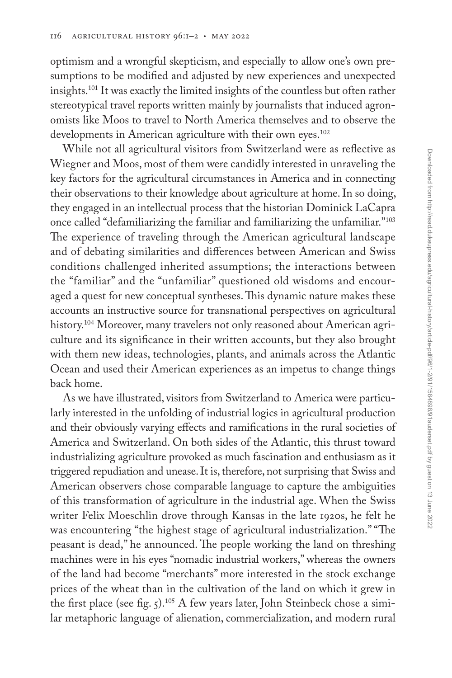optimism and a wrongful skepticism, and especially to allow one's own presumptions to be modified and adjusted by new experiences and unexpected insights.101 It was exactly the limited insights of the countless but often rather stereotypical travel reports written mainly by journalists that induced agronomists like Moos to travel to North America themselves and to observe the developments in American agriculture with their own eyes.<sup>102</sup>

While not all agricultural visitors from Switzerland were as reflective as Wiegner and Moos, most of them were candidly interested in unraveling the key factors for the agricultural circumstances in America and in connecting their observations to their knowledge about agriculture at home. In so doing, they engaged in an intellectual process that the historian Dominick LaCapra once called "defamiliarizing the familiar and familiarizing the unfamiliar."103 The experience of traveling through the American agricultural landscape and of debating similarities and differences between American and Swiss conditions challenged inherited assumptions; the interactions between the "familiar" and the "unfamiliar" questioned old wisdoms and encouraged a quest for new conceptual syntheses. This dynamic nature makes these accounts an instructive source for transnational perspectives on agricultural history.<sup>104</sup> Moreover, many travelers not only reasoned about American agriculture and its significance in their written accounts, but they also brought with them new ideas, technologies, plants, and animals across the Atlantic Ocean and used their American experiences as an impetus to change things back home.

As we have illustrated, visitors from Switzerland to America were particularly interested in the unfolding of industrial logics in agricultural production and their obviously varying effects and ramifications in the rural societies of America and Switzerland. On both sides of the Atlantic, this thrust toward industrializing agriculture provoked as much fascination and enthusiasm as it triggered repudiation and unease. It is, therefore, not surprising that Swiss and American observers chose comparable language to capture the ambiguities of this transformation of agriculture in the industrial age. When the Swiss writer Felix Moeschlin drove through Kansas in the late 1920s, he felt he was encountering "the highest stage of agricultural industrialization." "The peasant is dead," he announced. The people working the land on threshing machines were in his eyes "nomadic industrial workers," whereas the owners of the land had become "merchants" more interested in the stock exchange prices of the wheat than in the cultivation of the land on which it grew in the first place (see fig. 5).<sup>105</sup> A few years later, John Steinbeck chose a similar metaphoric language of alienation, commercialization, and modern rural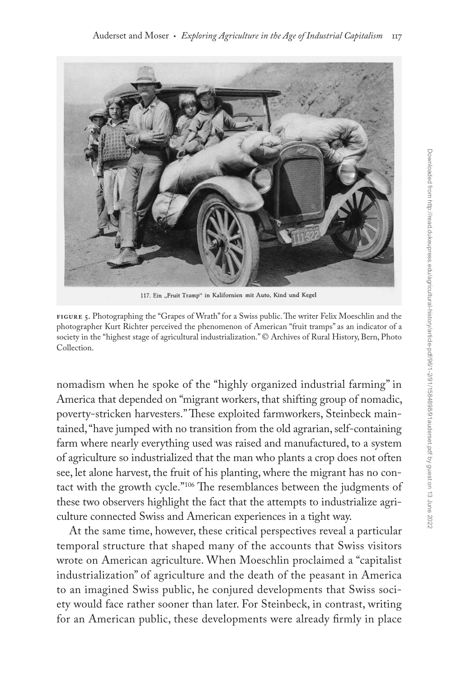

117. Ein "Fruit Tramp" in Kalifornien mit Auto, Kind und Kegel

**Figure 5.** Photographing the "Grapes of Wrath" for a Swiss public. The writer Felix Moeschlin and the photographer Kurt Richter perceived the phenomenon of American "fruit tramps" as an indicator of a society in the "highest stage of agricultural industrialization." © Archives of Rural History, Bern, Photo Collection.

nomadism when he spoke of the "highly organized industrial farming" in America that depended on "migrant workers, that shifting group of nomadic, poverty-stricken harvesters." These exploited farmworkers, Steinbeck maintained, "have jumped with no transition from the old agrarian, self-containing farm where nearly everything used was raised and manufactured, to a system of agriculture so industrialized that the man who plants a crop does not often see, let alone harvest, the fruit of his planting, where the migrant has no contact with the growth cycle."106 The resemblances between the judgments of these two observers highlight the fact that the attempts to industrialize agriculture connected Swiss and American experiences in a tight way.

At the same time, however, these critical perspectives reveal a particular temporal structure that shaped many of the accounts that Swiss visitors wrote on American agriculture. When Moeschlin proclaimed a "capitalist industrialization" of agriculture and the death of the peasant in America to an imagined Swiss public, he conjured developments that Swiss society would face rather sooner than later. For Steinbeck, in contrast, writing for an American public, these developments were already firmly in place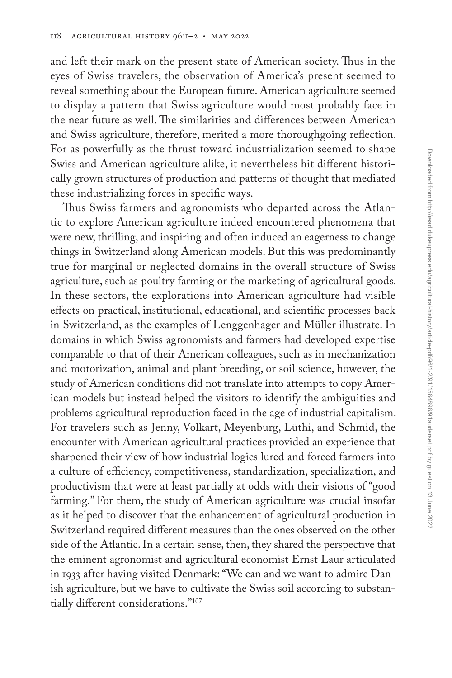and left their mark on the present state of American society. Thus in the eyes of Swiss travelers, the observation of America's present seemed to reveal something about the European future. American agriculture seemed to display a pattern that Swiss agriculture would most probably face in the near future as well. The similarities and differences between American and Swiss agriculture, therefore, merited a more thoroughgoing reflection. For as powerfully as the thrust toward industrialization seemed to shape Swiss and American agriculture alike, it nevertheless hit different historically grown structures of production and patterns of thought that mediated these industrializing forces in specific ways.

Thus Swiss farmers and agronomists who departed across the Atlantic to explore American agriculture indeed encountered phenomena that were new, thrilling, and inspiring and often induced an eagerness to change things in Switzerland along American models. But this was predominantly true for marginal or neglected domains in the overall structure of Swiss agriculture, such as poultry farming or the marketing of agricultural goods. In these sectors, the explorations into American agriculture had visible effects on practical, institutional, educational, and scientific processes back in Switzerland, as the examples of Lenggenhager and Müller illustrate. In domains in which Swiss agronomists and farmers had developed expertise comparable to that of their American colleagues, such as in mechanization and motorization, animal and plant breeding, or soil science, however, the study of American conditions did not translate into attempts to copy American models but instead helped the visitors to identify the ambiguities and problems agricultural reproduction faced in the age of industrial capitalism. For travelers such as Jenny, Volkart, Meyenburg, Lüthi, and Schmid, the encounter with American agricultural practices provided an experience that sharpened their view of how industrial logics lured and forced farmers into a culture of efficiency, competitiveness, standardization, specialization, and productivism that were at least partially at odds with their visions of "good farming." For them, the study of American agriculture was crucial insofar as it helped to discover that the enhancement of agricultural production in Switzerland required different measures than the ones observed on the other side of the Atlantic. In a certain sense, then, they shared the perspective that the eminent agronomist and agricultural economist Ernst Laur articulated in 1933 after having visited Denmark: "We can and we want to admire Danish agriculture, but we have to cultivate the Swiss soil according to substantially different considerations."107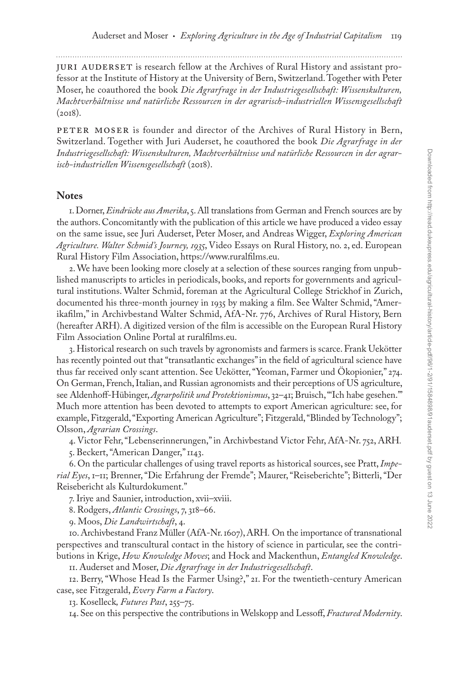Juri Auderset is research fellow at the Archives of Rural History and assistant professor at the Institute of History at the University of Bern, Switzerland. Together with Peter Moser, he coauthored the book *Die Agrarfrage in der Industriegesellschaft: Wissenskulturen, Machtverhältnisse und natürliche Ressourcen in der agrarisch-industriellen Wissensgesellschaft*  $(2018).$ 

PETER MOSER is founder and director of the Archives of Rural History in Bern, Switzerland. Together with Juri Auderset, he coauthored the book *Die Agrarfrage in der Industriegesellschaft: Wissenskulturen, Machtverhältnisse und natürliche Ressourcen in der agrarisch-industriellen Wissensgesellschaft* (2018).

#### **Notes**

1. Dorner, *Eindrücke aus Amerika*, 5. All translations from German and French sources are by the authors. Concomitantly with the publication of this article we have produced a video essay on the same issue, see Juri Auderset, Peter Moser, and Andreas Wigger, *Exploring American Agriculture. Walter Schmid's Journey, 1935*, Video Essays on Rural History, no. 2, ed. European Rural History Film Association,<https://www.ruralfilms.eu>.

2. We have been looking more closely at a selection of these sources ranging from unpublished manuscripts to articles in periodicals, books, and reports for governments and agricultural institutions. Walter Schmid, foreman at the Agricultural College Strickhof in Zurich, documented his three-month journey in 1935 by making a film. See Walter Schmid, "Amerikafilm," in Archivbestand Walter Schmid, AfA-Nr. 776, Archives of Rural History, Bern (hereafter ARH). A digitized version of the film is accessible on the European Rural History Film Association Online Portal at [ruralfilms.eu](http://ruralfilms.eu).

3. Historical research on such travels by agronomists and farmers is scarce. Frank Uekötter has recently pointed out that "transatlantic exchanges" in the field of agricultural science have thus far received only scant attention. See Uekötter, "Yeoman, Farmer und Ökopionier," 274. On German, French, Italian, and Russian agronomists and their perceptions of US agriculture, see Aldenhoff-Hübinger, *Agrarpolitik und Protektionismus*, 32–41; Bruisch, "'Ich habe gesehen.'" Much more attention has been devoted to attempts to export American agriculture: see, for example, Fitzgerald, "Exporting American Agriculture"; Fitzgerald, "Blinded by Technology"; Olsson, *Agrarian Crossings*.

4. Victor Fehr, "Lebenserinnerungen," in Archivbestand Victor Fehr, AfA-Nr. 752, ARH*.*

5. Beckert, "American Danger," 1143.

6. On the particular challenges of using travel reports as historical sources, see Pratt, *Imperial Eyes*, 1–11; Brenner, "Die Erfahrung der Fremde"; Maurer, "Reiseberichte"; Bitterli, "Der Reisebericht als Kulturdokument."

7. Iriye and Saunier, introduction, xvii–xviii.

8. Rodgers, *Atlantic Crossings*, 7, 318–66.

9. Moos, *Die Landwirtschaft*, 4.

10. Archivbestand Franz Müller (AfA-Nr. 1607), ARH*.* On the importance of transnational perspectives and transcultural contact in the history of science in particular, see the contributions in Krige, *How Knowledge Moves*; and Hock and Mackenthun, *Entangled Knowledge*.

11. Auderset and Moser, *Die Agrarfrage in der Industriegesellschaft*.

12. Berry, "Whose Head Is the Farmer Using?," 21. For the twentieth-century American case, see Fitzgerald, *Every Farm a Factory*.

13. Koselleck*, Futures Past*, 255–75.

14. See on this perspective the contributions in Welskopp and Lessoff, *Fractured Modernity*.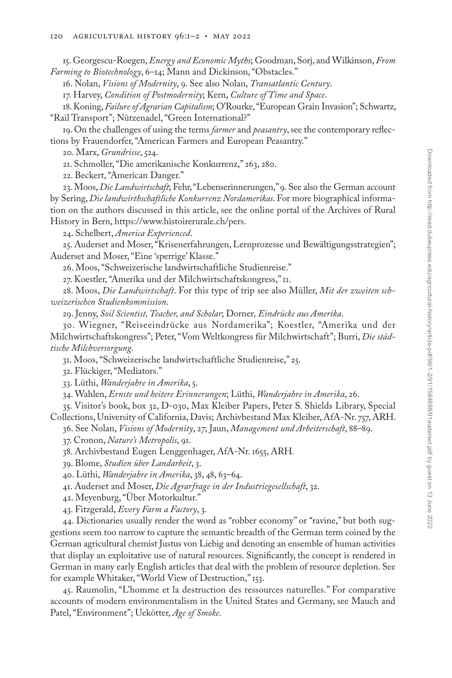15. Georgescu-Roegen, *Energy and Economic Myths*; Goodman, Sorj, and Wilkinson, *From Farming to Biotechnology*, 6–14; Mann and Dickinson, "Obstacles."

16. Nolan, *Visions of Modernity*, 9. See also Nolan, *Transatlantic Century*.

17. Harvey, *Condition of Postmodernity*; Kern, *Culture of Time and Space*.

18. Koning, *Failure of Agrarian Capitalism*; O'Rourke, "European Grain Invasion"; Schwartz, "Rail Transport"; Nützenadel, "Green International?"

19. On the challenges of using the terms *farmer* and *peasantry*, see the contemporary reflections by Frauendorfer, "American Farmers and European Peasantry."

20. Marx, *Grundrisse*, 524.

21. Schmoller, "Die amerikanische Konkurrenz," 263, 280.

22. Beckert, "American Danger."

23. Moos, *Die Landwirtschaft*; Fehr, "Lebenserinnerungen," 9. See also the German account by Sering, *Die landwirthschaftliche Konkurrenz Nordamerikas*. For more biographical information on the authors discussed in this article, see the online portal of the Archives of Rural History in Bern,<https://www.histoirerurale.ch/pers>.

24. Schelbert, *America Experienced*.

25. Auderset and Moser, "Krisenerfahrungen, Lernprozesse und Bewältigungsstrategien"; Auderset and Moser, "Eine 'sperrige' Klasse."

26. Moos, "Schweizerische landwirtschaftliche Studienreise."

27. Koestler, "Amerika und der Milchwirtschaftskongress," 11.

28. Moos, *Die Landwirtschaft*. For this type of trip see also Müller, *Mit der zweiten schweizerischen Studienkommission*.

29. Jenny, *Soil Scientist, Teacher, and Scholar*; Dorner*, Eindrücke aus Amerika*.

30. Wiegner, "Reiseeindrücke aus Nordamerika"; Koestler, "Amerika und der Milchwirtschaftskongress"; Peter, "Vom Weltkongress für Milchwirtschaft"; Burri, *Die städtische Milchversorgung*.

31. Moos, "Schweizerische landwirtschaftliche Studienreise," 25.

32. Flückiger, "Mediators."

33. Lüthi, *Wanderjahre in Amerika*, 5.

34. Wahlen, *Ernste und heitere Erinnerungen*; Lüthi, *Wanderjahre in Amerika*, 26.

35. Visitor's book, box 32, D-030, Max Kleiber Papers, Peter S. Shields Library, Special Collections, University of California, Davis; Archivbestand Max Kleiber, AfA-Nr. 757, ARH.

36. See Nolan, *Visions of Modernity*, 27; Jaun, *Management und Arbeiterschaft*, 88–89.

37. Cronon, *Nature's Metropolis*, 91.

38. Archivbestand Eugen Lenggenhager, AfA-Nr. 1655, ARH*.*

39. Blome, *Studien über Landarbeit*, 3.

40. Lüthi, *Wanderjahre in Amerika*, 38, 48, 63–64.

41. Auderset and Moser, *Die Agrarfrage in der Industriegesellschaft*, 32.

42. Meyenburg, "Über Motorkultur."

43. Fitzgerald, *Every Farm a Factory*, 3.

44. Dictionaries usually render the word as "robber economy" or "ravine," but both suggestions seem too narrow to capture the semantic breadth of the German term coined by the German agricultural chemist Justus von Liebig and denoting an ensemble of human activities that display an exploitative use of natural resources. Significantly, the concept is rendered in German in many early English articles that deal with the problem of resource depletion. See for example Whitaker, "World View of Destruction," 153.

45. Raumolin, "L'homme et la destruction des ressources naturelles." For comparative accounts of modern environmentalism in the United States and Germany, see Mauch and Patel, "Environment"; Uekötter, *Age of Smoke*.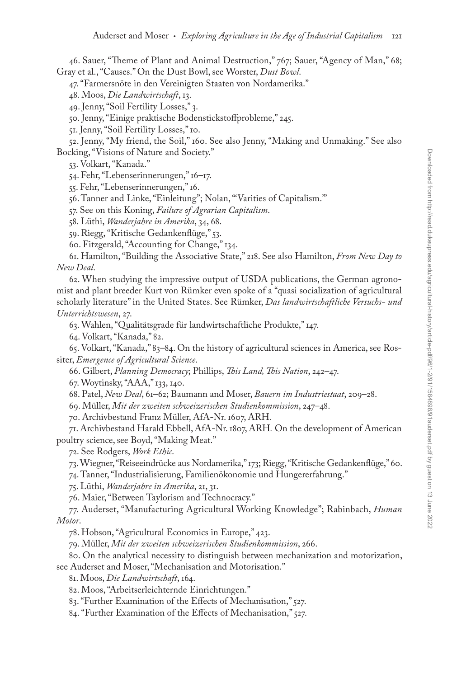46. Sauer, "Theme of Plant and Animal Destruction," 767; Sauer, "Agency of Man," 68; Gray et al., "Causes." On the Dust Bowl, see Worster, *Dust Bowl*.

47. "Farmersnöte in den Vereinigten Staaten von Nordamerika."

48. Moos, *Die Landwirtschaft*, 13.

49. Jenny, "Soil Fertility Losses," 3.

50. Jenny, "Einige praktische Bodenstickstoffprobleme," 245.

51. Jenny, "Soil Fertility Losses," 10.

52. Jenny, "My friend, the Soil," 160. See also Jenny, "Making and Unmaking." See also Bocking, "Visions of Nature and Society."

53. Volkart, "Kanada."

54. Fehr, "Lebenserinnerungen," 16–17.

55. Fehr, "Lebenserinnerungen," 16.

56. Tanner and Linke, "Einleitung"; Nolan, "'Varities of Capitalism.'"

57. See on this Koning, *Failure of Agrarian Capitalism*.

58. Lüthi, *Wanderjahre in Amerika*, 34, 68.

59. Riegg, "Kritische Gedankenflüge," 53.

60. Fitzgerald, "Accounting for Change," 134.

61. Hamilton, "Building the Associative State," 218. See also Hamilton, *From New Day to New Deal*.

62. When studying the impressive output of USDA publications, the German agronomist and plant breeder Kurt von Rümker even spoke of a "quasi socialization of agricultural scholarly literature" in the United States. See Rümker, *Das landwirtschaftliche Versuchs- und Unterrichtswesen*, 27.

63. Wahlen, "Qualitätsgrade für landwirtschaftliche Produkte," 147.

64. Volkart, "Kanada," 82.

65. Volkart, "Kanada," 83–84. On the history of agricultural sciences in America, see Rossiter, *Emergence of Agricultural Science*.

66. Gilbert, *Planning Democracy*; Phillips, *This Land, This Nation*, 242–47.

67. Woytinsky, "AAA," 133, 140.

68. Patel, *New Deal*, 61–62; Baumann and Moser, *Bauern im Industriestaat*, 209–28.

69. Müller, *Mit der zweiten schweizerischen Studienkommission*, 247–48.

70. Archivbestand Franz Müller, AfA-Nr. 1607, ARH*.*

71. Archivbestand Harald Ebbell, AfA-Nr. 1807, ARH*.* On the development of American poultry science, see Boyd, "Making Meat."

72. See Rodgers, *Work Ethic*.

73. Wiegner, "Reiseeindrücke aus Nordamerika," 173; Riegg, "Kritische Gedankenflüge," 60.

74. Tanner, "Industrialisierung, Familienökonomie und Hungererfahrung."

75. Lüthi, *Wanderjahre in Amerika*, 21, 31.

76. Maier, "Between Taylorism and Technocracy."

77. Auderset, "Manufacturing Agricultural Working Knowledge"; Rabinbach, *Human Motor*.

78. Hobson, "Agricultural Economics in Europe," 423.

79. Müller, *Mit der zweiten schweizerischen Studienkommission*, 266.

80. On the analytical necessity to distinguish between mechanization and motorization, see Auderset and Moser, "Mechanisation and Motorisation."

81. Moos, *Die Landwirtschaft*, 164.

82. Moos, "Arbeitserleichternde Einrichtungen."

83. "Further Examination of the Effects of Mechanisation," 527.

84. "Further Examination of the Effects of Mechanisation," 527.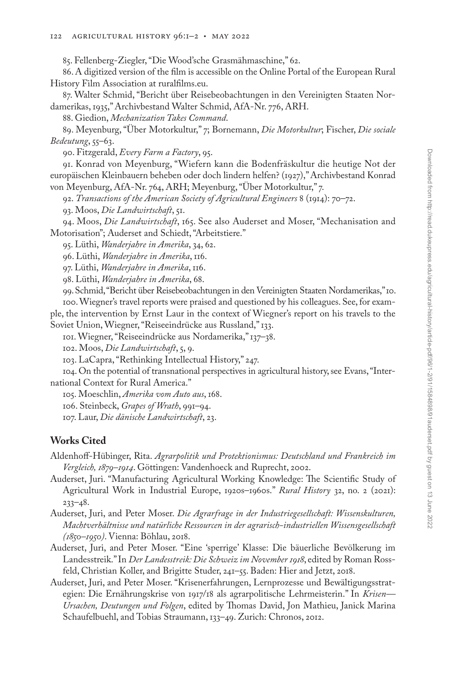85. Fellenberg-Ziegler, "Die Wood'sche Grasmähmaschine," 62.

86. A digitized version of the film is accessible on the Online Portal of the European Rural History Film Association at [ruralfilms.eu.](http://ruralfilms.eu)

87. Walter Schmid, "Bericht über Reisebeobachtungen in den Vereinigten Staaten Nordamerikas, 1935," Archivbestand Walter Schmid, AfA-Nr. 776, ARH.

88. Giedion, *Mechanization Takes Command*.

89. Meyenburg, "Über Motorkultur," 7; Bornemann, *Die Motorkultur*; Fischer, *Die sociale Bedeutung*, 55–63.

90. Fitzgerald, *Every Farm a Factory*, 95.

91. Konrad von Meyenburg, "Wiefern kann die Bodenfräskultur die heutige Not der europäischen Kleinbauern beheben oder doch lindern helfen? (1927)," Archivbestand Konrad von Meyenburg, AfA-Nr. 764, ARH; Meyenburg, "Über Motorkultur," 7.

92. *Transactions of the American Society of Agricultural Engineers* 8 (1914): 70–72.

93. Moos, *Die Landwirtschaft*, 51.

94. Moos, *Die Landwirtschaft*, 165. See also Auderset and Moser, "Mechanisation and Motorisation"; Auderset and Schiedt, "Arbeitstiere."

95. Lüthi, *Wanderjahre in Amerika*, 34, 62.

96. Lüthi, *Wanderjahre in Amerika*, 116.

97. Lüthi, *Wanderjahre in Amerika*, 116.

98. Lüthi, *Wanderjahre in Amerika*, 68.

99. Schmid, "Bericht über Reisebeobachtungen in den Vereinigten Staaten Nordamerikas," 10.

100. Wiegner's travel reports were praised and questioned by his colleagues. See, for example, the intervention by Ernst Laur in the context of Wiegner's report on his travels to the Soviet Union, Wiegner, "Reiseeindrücke aus Russland," 133.

101. Wiegner, "Reiseeindrücke aus Nordamerika," 137–38.

102. Moos, *Die Landwirtschaft*, 5, 9.

103. LaCapra, "Rethinking Intellectual History," 247.

104. On the potential of transnational perspectives in agricultural history, see Evans, "International Context for Rural America."

105. Moeschlin, *Amerika vom Auto aus*, 168.

106. Steinbeck, *Grapes of Wrath*, 991–94.

107. Laur, *Die dänische Landwirtschaft*, 23.

#### **Works Cited**

Aldenhoff-Hübinger, Rita. *Agrarpolitik und Protektionismus: Deutschland und Frankreich im Vergleich, 1879–1914*. Göttingen: Vandenhoeck and Ruprecht, 2002.

- Auderset, Juri. "Manufacturing Agricultural Working Knowledge: The Scientific Study of Agricultural Work in Industrial Europe, 1920s–1960s." *Rural History* 32, no. 2 (2021): 233–48.
- Auderset, Juri, and Peter Moser. *Die Agrarfrage in der Industriegesellschaft: Wissenskulturen, Machtverhältnisse und natürliche Ressourcen in der agrarisch-industriellen Wissensgesellschaft (1850–1950)*. Vienna: Böhlau, 2018.
- Auderset, Juri, and Peter Moser. "Eine 'sperrige' Klasse: Die bäuerliche Bevölkerung im Landesstreik." In *Der Landesstreik: Die Schweiz im November 1918*, edited by Roman Rossfeld, Christian Koller, and Brigitte Studer, 241–55. Baden: Hier and Jetzt, 2018.
- Auderset, Juri, and Peter Moser. "Krisenerfahrungen, Lernprozesse und Bewältigungsstrategien: Die Ernährungskrise von 1917/18 als agrarpolitische Lehrmeisterin." In *Krisen— Ursachen, Deutungen und Folgen*, edited by Thomas David, Jon Mathieu, Janick Marina Schaufelbuehl, and Tobias Straumann, 133–49. Zurich: Chronos, 2012.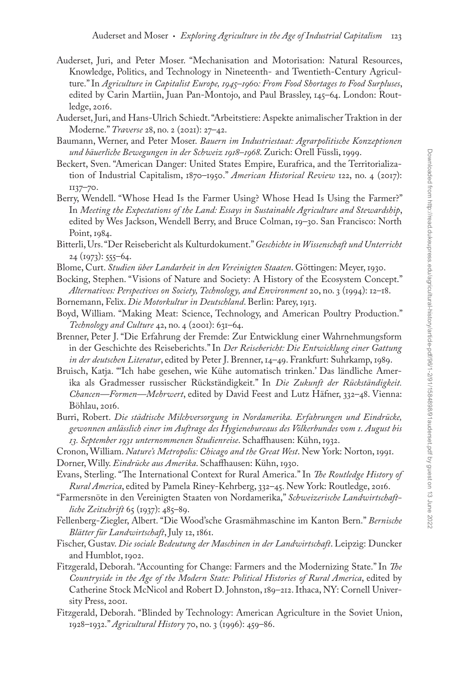- Auderset, Juri, and Peter Moser. "Mechanisation and Motorisation: Natural Resources, Knowledge, Politics, and Technology in Nineteenth- and Twentieth-Century Agriculture." In *Agriculture in Capitalist Europe, 1945–1960: From Food Shortages to Food Surpluses*, edited by Carin Martiin, Juan Pan-Montojo, and Paul Brassley, 145–64. London: Routledge, 2016.
- Auderset, Juri, and Hans-Ulrich Schiedt. "Arbeitstiere: Aspekte animalischer Traktion in der Moderne." *Traverse* 28, no. 2 (2021): 27–42.
- Baumann, Werner, and Peter Moser. *Bauern im Industriestaat: Agrarpolitische Konzeptionen und bäuerliche Bewegungen in der Schweiz 1918–1968*. Zurich: Orell Füssli, 1999.
- Beckert, Sven. "American Danger: United States Empire, Eurafrica, and the Territorialization of Industrial Capitalism, 1870–1950." *American Historical Review* 122, no. 4 (2017): 1137–70.
- Berry, Wendell. "Whose Head Is the Farmer Using? Whose Head Is Using the Farmer?" In *Meeting the Expectations of the Land: Essays in Sustainable Agriculture and Stewardship*, edited by Wes Jackson, Wendell Berry, and Bruce Colman, 19–30. San Francisco: North Point, 1984.
- Bitterli, Urs. "Der Reisebericht als Kulturdokument." *Geschichte in Wissenschaft und Unterricht* 24 (1973): 555–64.
- Blome, Curt. *Studien über Landarbeit in den Vereinigten Staaten*. Göttingen: Meyer, 1930.
- Bocking, Stephen. "Visions of Nature and Society: A History of the Ecosystem Concept." *Alternatives: Perspectives on Society, Technology, and Environment* 20, no. 3 (1994): 12–18.
- Bornemann, Felix. *Die Motorkultur in Deutschland*. Berlin: Parey, 1913.
- Boyd, William. "Making Meat: Science, Technology, and American Poultry Production." *Technology and Culture* 42, no. 4 (2001): 631–64.
- Brenner, Peter J. "Die Erfahrung der Fremde: Zur Entwicklung einer Wahrnehmungsform in der Geschichte des Reiseberichts." In *Der Reisebericht: Die Entwicklung einer Gattung in der deutschen Literatur*, edited by Peter J. Brenner, 14–49. Frankfurt: Suhrkamp, 1989.
- Bruisch, Katja. "'Ich habe gesehen, wie Kühe automatisch trinken.' Das ländliche Amerika als Gradmesser russischer Rückständigkeit." In *Die Zukunft der Rückständigkeit. Chancen—Formen—Mehrwert*, edited by David Feest and Lutz Häfner, 332–48. Vienna: Böhlau, 2016.
- Burri, Robert. *Die städtische Milchversorgung in Nordamerika. Erfahrungen und Eindrücke, gewonnen anlässlich einer im Auftrage des Hygienebureaus des Völkerbundes vom 1. August bis 13. September 1931 unternommenen Studienreise*. Schaffhausen: Kühn, 1932.
- Cronon, William. *Nature's Metropolis: Chicago and the Great West*. New York: Norton, 1991.
- Dorner, Willy. *Eindrücke aus Amerika*. Schaffhausen: Kühn, 1930.
- Evans, Sterling. "The International Context for Rural America." In *The Routledge History of Rural America*, edited by Pamela Riney-Kehrberg, 332–45. New York: Routledge, 2016.
- "Farmersnöte in den Vereinigten Staaten von Nordamerika," *Schweizerische Landwirtschaftliche Zeitschrift* 65 (1937): 485–89.
- Fellenberg-Ziegler, Albert. "Die Wood'sche Grasmähmaschine im Kanton Bern." *Bernische Blätter für Landwirtschaft*, July 12, 1861.
- Fischer, Gustav. *Die sociale Bedeutung der Maschinen in der Landwirtschaft*. Leipzig: Duncker and Humblot, 1902.
- Fitzgerald, Deborah. "Accounting for Change: Farmers and the Modernizing State." In *The Countryside in the Age of the Modern State: Political Histories of Rural America*, edited by Catherine Stock McNicol and Robert D. Johnston, 189–212. Ithaca, NY: Cornell University Press, 2001.
- Fitzgerald, Deborah. "Blinded by Technology: American Agriculture in the Soviet Union, 1928–1932." *Agricultural History* 70, no. 3 (1996): 459–86.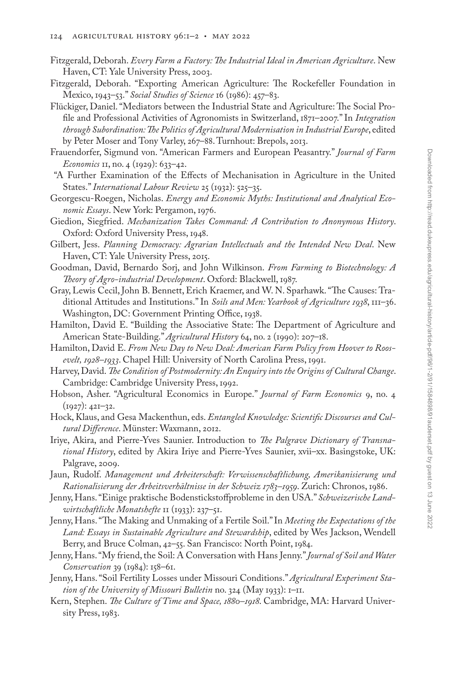- Fitzgerald, Deborah. *Every Farm a Factory: The Industrial Ideal in American Agriculture*. New Haven, CT: Yale University Press, 2003.
- Fitzgerald, Deborah. "Exporting American Agriculture: The Rockefeller Foundation in Mexico, 1943–53." *Social Studies of Science* 16 (1986): 457–83.
- Flückiger, Daniel. "Mediators between the Industrial State and Agriculture: The Social Profile and Professional Activities of Agronomists in Switzerland, 1871–2007." In *Integration through Subordination: The Politics of Agricultural Modernisation in Industrial Europe*, edited by Peter Moser and Tony Varley, 267–88. Turnhout: Brepols, 2013.
- Frauendorfer, Sigmund von. "American Farmers and European Peasantry." *Journal of Farm Economics* 11, no. 4 (1929): 633–42.
- "A Further Examination of the Effects of Mechanisation in Agriculture in the United States." *International Labour Review* 25 (1932): 525–35.
- Georgescu-Roegen, Nicholas. *Energy and Economic Myths: Institutional and Analytical Economic Essays*. New York: Pergamon, 1976.
- Giedion, Siegfried. *Mechanization Takes Command: A Contribution to Anonymous History*. Oxford: Oxford University Press, 1948.
- Gilbert, Jess. *Planning Democracy: Agrarian Intellectuals and the Intended New Deal*. New Haven, CT: Yale University Press, 2015.
- Goodman, David, Bernardo Sorj, and John Wilkinson. *From Farming to Biotechnology: A Theory of Agro-industrial Development*. Oxford: Blackwell, 1987.
- Gray, Lewis Cecil, John B. Bennett, Erich Kraemer, and W. N. Sparhawk. "The Causes: Traditional Attitudes and Institutions." In *Soils and Men: Yearbook of Agriculture 1938*, 111–36. Washington, DC: Government Printing Office, 1938.
- Hamilton, David E. "Building the Associative State: The Department of Agriculture and American State-Building." *Agricultural History* 64, no. 2 (1990): 207–18.
- Hamilton, David E. *From New Day to New Deal: American Farm Policy from Hoover to Roosevelt, 1928–1933*. Chapel Hill: University of North Carolina Press, 1991.
- Harvey, David. *The Condition of Postmodernity: An Enquiry into the Origins of Cultural Change*. Cambridge: Cambridge University Press, 1992.
- Hobson, Asher. "Agricultural Economics in Europe." *Journal of Farm Economics* 9, no. 4  $(1927): 42I-32.$
- Hock, Klaus, and Gesa Mackenthun, eds. *Entangled Knowledge: Scientific Discourses and Cultural Difference*. Münster: Waxmann, 2012.
- Iriye, Akira, and Pierre-Yves Saunier. Introduction to *The Palgrave Dictionary of Transnational History*, edited by Akira Iriye and Pierre-Yves Saunier, xvii–xx. Basingstoke, UK: Palgrave, 2009.
- Jaun, Rudolf. *Management und Arbeiterschaft: Verwissenschaftlichung, Amerikanisierung und Rationalisierung der Arbeitsverhältnisse in der Schweiz 1783–1959*. Zurich: Chronos, 1986.
- Jenny, Hans. "Einige praktische Bodenstickstoffprobleme in den USA." *Schweizerische Landwirtschaftliche Monatshefte* 11 (1933): 237–51.
- Jenny, Hans. "The Making and Unmaking of a Fertile Soil." In *Meeting the Expectations of the Land: Essays in Sustainable Agriculture and Stewardship*, edited by Wes Jackson, Wendell Berry, and Bruce Colman, 42–55. San Francisco: North Point, 1984.
- Jenny, Hans. "My friend, the Soil: A Conversation with Hans Jenny." *Journal of Soil and Water Conservation* 39 (1984): 158–61.
- Jenny, Hans. "Soil Fertility Losses under Missouri Conditions." *Agricultural Experiment Station of the University of Missouri Bulletin* no. 324 (May 1933): 1–11.
- Kern, Stephen. *The Culture of Time and Space, 1880–1918*. Cambridge, MA: Harvard University Press, 1983.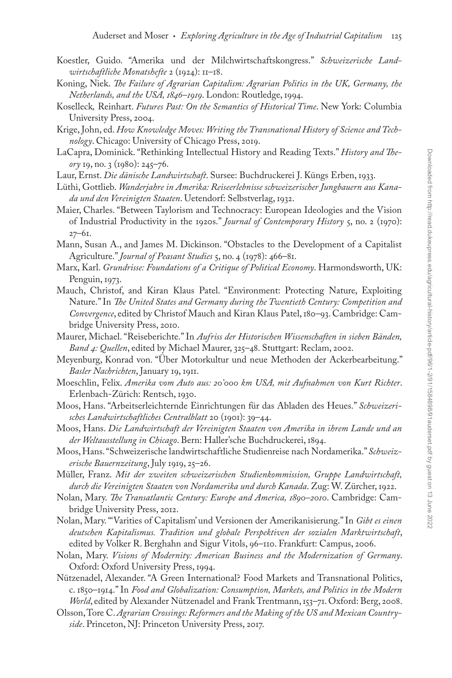- Koestler, Guido. "Amerika und der Milchwirtschaftskongress." *Schweizerische Landwirtschaftliche Monatshefte* 2 (1924): 11–18.
- Koning, Niek. *The Failure of Agrarian Capitalism: Agrarian Politics in the UK, Germany, the Netherlands, and the USA, 1846–1919*. London: Routledge, 1994.
- Koselleck*,* Reinhart. *Futures Past: On the Semantics of Historical Time*. New York: Columbia University Press, 2004.
- Krige, John, ed. *How Knowledge Moves: Writing the Transnational History of Science and Technology*. Chicago: University of Chicago Press, 2019.
- LaCapra, Dominick. "Rethinking Intellectual History and Reading Texts." *History and Theory* 19, no. 3 (1980): 245–76.
- Laur, Ernst. *Die dänische Landwirtschaft*. Sursee: Buchdruckerei J. Küngs Erben, 1933.
- Lüthi, Gottlieb. *Wanderjahre in Amerika: Reiseerlebnisse schweizerischer Jungbauern aus Kanada und den Vereinigten Staaten*. Uetendorf: Selbstverlag, 1932.
- Maier, Charles. "Between Taylorism and Technocracy: European Ideologies and the Vision of Industrial Productivity in the 1920s." *Journal of Contemporary History* 5, no. 2 (1970): 27–61.
- Mann, Susan A., and James M. Dickinson. "Obstacles to the Development of a Capitalist Agriculture." *Journal of Peasant Studies* 5, no. 4 (1978): 466–81.
- Marx, Karl. *Grundrisse: Foundations of a Critique of Political Economy*. Harmondsworth, UK: Penguin, 1973.
- Mauch, Christof, and Kiran Klaus Patel. "Environment: Protecting Nature, Exploiting Nature." In *The United States and Germany during the Twentieth Century: Competition and Convergence*, edited by Christof Mauch and Kiran Klaus Patel, 180–93. Cambridge: Cambridge University Press, 2010.
- Maurer, Michael. "Reiseberichte." In *Aufriss der Historischen Wissenschaften in sieben Bänden, Band 4: Quellen*, edited by Michael Maurer, 325–48. Stuttgart: Reclam, 2002.
- Meyenburg, Konrad von. "Über Motorkultur und neue Methoden der Ackerbearbeitung." *Basler Nachrichten*, January 19, 1911.
- Moeschlin, Felix. *Amerika vom Auto aus: 20'000 km USA, mit Aufnahmen von Kurt Richter*. Erlenbach-Zürich: Rentsch, 1930.
- Moos, Hans. "Arbeitserleichternde Einrichtungen für das Abladen des Heues." *Schweizerisches Landwirtschaftliches Centralblatt* 20 (1901): 39–44.
- Moos, Hans. *Die Landwirtschaft der Vereinigten Staaten von Amerika in ihrem Lande und an der Weltausstellung in Chicago*. Bern: Haller'sche Buchdruckerei, 1894.
- Moos, Hans. "Schweizerische landwirtschaftliche Studienreise nach Nordamerika." *Schweizerische Bauernzeitung*, July 1919, 25–26.
- Müller, Franz. *Mit der zweiten schweizerischen Studienkommission, Gruppe Landwirtschaft, durch die Vereinigten Staaten von Nordamerika und durch Kanada*. Zug: W. Zürcher, 1922.
- Nolan, Mary. *The Transatlantic Century: Europe and America, 1890–2010*. Cambridge: Cambridge University Press, 2012.
- Nolan, Mary. "'Varities of Capitalism' und Versionen der Amerikanisierung." In *Gibt es einen deutschen Kapitalismus. Tradition und globale Perspektiven der sozialen Marktwirtschaft*, edited by Volker R. Berghahn and Sigur Vitols, 96–110. Frankfurt: Campus, 2006.
- Nolan, Mary. *Visions of Modernity: American Business and the Modernization of Germany*. Oxford: Oxford University Press, 1994.
- Nützenadel, Alexander. "A Green International? Food Markets and Transnational Politics, c. 1850–1914." In *Food and Globalization: Consumption, Markets, and Politics in the Modern World*, edited by Alexander Nützenadel and Frank Trentmann, 153–71. Oxford: Berg, 2008.
- Olsson, Tore C. *Agrarian Crossings: Reformers and the Making of the US and Mexican Countryside*. Princeton, NJ: Princeton University Press, 2017.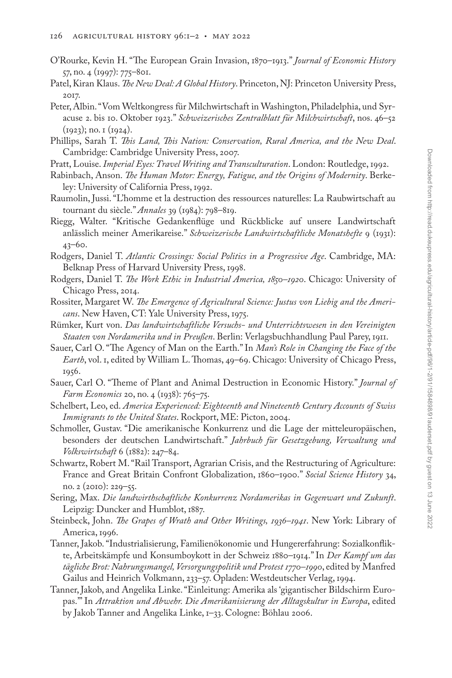- O'Rourke, Kevin H. "The European Grain Invasion, 1870–1913." *Journal of Economic History* 57, no. 4 (1997): 775–801.
- Patel, Kiran Klaus. *The New Deal: A Global History*. Princeton, NJ: Princeton University Press, 2017.
- Peter, Albin. "Vom Weltkongress für Milchwirtschaft in Washington, Philadelphia, und Syracuse 2. bis 10. Oktober 1923." *Schweizerisches Zentralblatt für Milchwirtschaft*, nos. 46–52 (1923); no. 1 (1924).
- Phillips, Sarah T. *This Land, This Nation: Conservation, Rural America, and the New Deal*. Cambridge: Cambridge University Press, 2007.
- Pratt, Louise. *Imperial Eyes: Travel Writing and Transculturation*. London: Routledge, 1992.
- Rabinbach, Anson. *The Human Motor: Energy, Fatigue, and the Origins of Modernity*. Berkeley: University of California Press, 1992.
- Raumolin, Jussi. "L'homme et la destruction des ressources naturelles: La Raubwirtschaft au tournant du siècle." *Annales* 39 (1984): 798–819.
- Riegg, Walter. "Kritische Gedankenflüge und Rückblicke auf unsere Landwirtschaft anlässlich meiner Amerikareise." *Schweizerische Landwirtschaftliche Monatshefte* 9 (1931): 43–60.
- Rodgers, Daniel T. *Atlantic Crossings: Social Politics in a Progressive Age*. Cambridge, MA: Belknap Press of Harvard University Press, 1998.
- Rodgers, Daniel T. *The Work Ethic in Industrial America, 1850–1920*. Chicago: University of Chicago Press, 2014.
- Rossiter, Margaret W. *The Emergence of Agricultural Science: Justus von Liebig and the Americans*. New Haven, CT: Yale University Press, 1975.
- Rümker, Kurt von. *Das landwirtschaftliche Versuchs- und Unterrichtswesen in den Vereinigten Staaten von Nordamerika und in Preußen*. Berlin: Verlagsbuchhandlung Paul Parey, 1911.
- Sauer, Carl O. "The Agency of Man on the Earth." In *Man's Role in Changing the Face of the Earth*, vol. 1, edited by William L. Thomas, 49–69. Chicago: University of Chicago Press, 1956.
- Sauer, Carl O. "Theme of Plant and Animal Destruction in Economic History." *Journal of Farm Economics* 20, no. 4 (1938): 765–75.
- Schelbert, Leo, ed. *America Experienced: Eighteenth and Nineteenth Century Accounts of Swiss Immigrants to the United States*. Rockport, ME: Picton, 2004.
- Schmoller, Gustav. "Die amerikanische Konkurrenz und die Lage der mitteleuropäischen, besonders der deutschen Landwirtschaft." *Jahrbuch für Gesetzgebung, Verwaltung und Volkswirtschaft* 6 (1882): 247–84.
- Schwartz, Robert M. "Rail Transport, Agrarian Crisis, and the Restructuring of Agriculture: France and Great Britain Confront Globalization, 1860–1900." *Social Science History* 34, no. 2 (2010): 229–55.
- Sering, Max. *Die landwirthschaftliche Konkurrenz Nordamerikas in Gegenwart und Zukunft*. Leipzig: Duncker and Humblot, 1887.
- Steinbeck, John. *The Grapes of Wrath and Other Writings, 1936–1941*. New York: Library of America, 1996.
- Tanner, Jakob. "Industrialisierung, Familienökonomie und Hungererfahrung: Sozialkonflikte, Arbeitskämpfe und Konsumboykott in der Schweiz 1880–1914." In *Der Kampf um das tägliche Brot: Nahrungsmangel, Versorgungspolitik und Protest 1770–1990*, edited by Manfred Gailus and Heinrich Volkmann, 233–57. Opladen: Westdeutscher Verlag, 1994.
- Tanner, Jakob, and Angelika Linke. "Einleitung: Amerika als 'gigantischer Bildschirm Europas.'" In *Attraktion und Abwehr. Die Amerikanisierung der Alltagskultur in Europa*, edited by Jakob Tanner and Angelika Linke, 1–33. Cologne: Böhlau 2006.